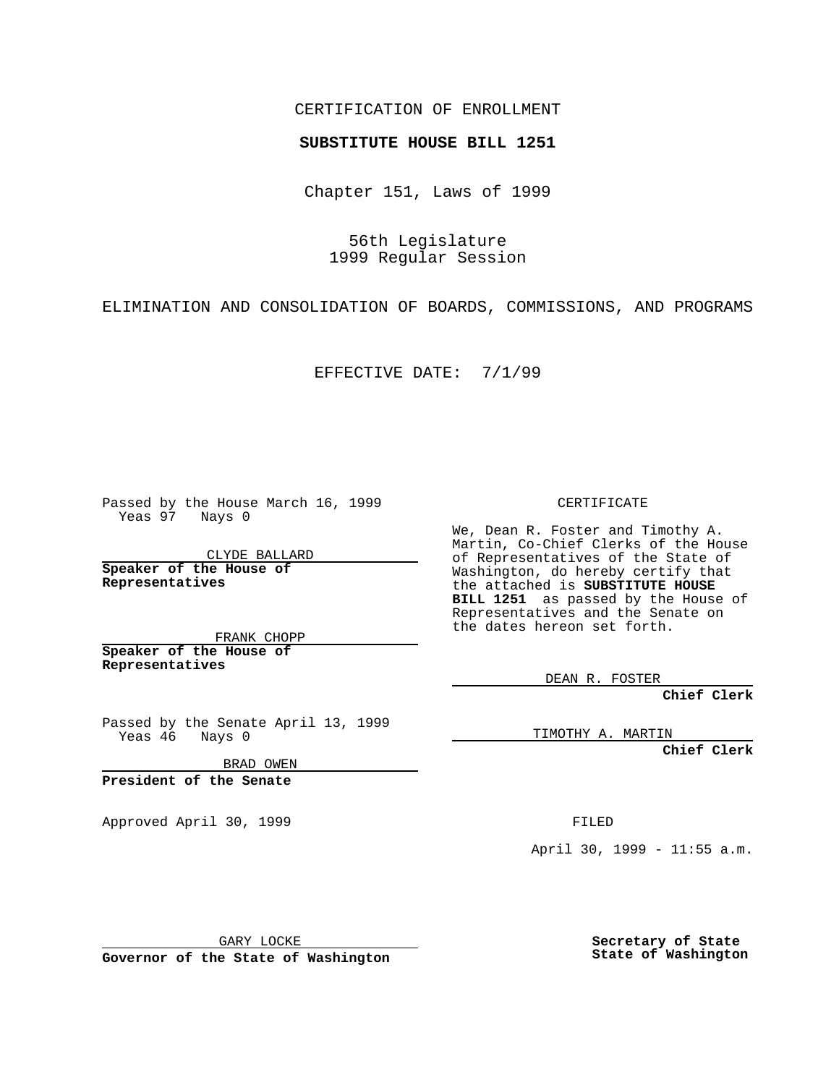#### CERTIFICATION OF ENROLLMENT

## **SUBSTITUTE HOUSE BILL 1251**

Chapter 151, Laws of 1999

56th Legislature 1999 Regular Session

ELIMINATION AND CONSOLIDATION OF BOARDS, COMMISSIONS, AND PROGRAMS

EFFECTIVE DATE: 7/1/99

Passed by the House March 16, 1999 Yeas 97 Nays 0

CLYDE BALLARD **Speaker of the House of Representatives**

FRANK CHOPP **Speaker of the House of Representatives**

Passed by the Senate April 13, 1999<br>Yeas 46 Nays 0 Nays 0

BRAD OWEN

**President of the Senate**

Approved April 30, 1999 **FILED** 

CERTIFICATE

We, Dean R. Foster and Timothy A. Martin, Co-Chief Clerks of the House of Representatives of the State of Washington, do hereby certify that the attached is **SUBSTITUTE HOUSE BILL 1251** as passed by the House of Representatives and the Senate on the dates hereon set forth.

DEAN R. FOSTER

**Chief Clerk**

TIMOTHY A. MARTIN

**Chief Clerk**

April 30, 1999 - 11:55 a.m.

GARY LOCKE

**Governor of the State of Washington**

**Secretary of State State of Washington**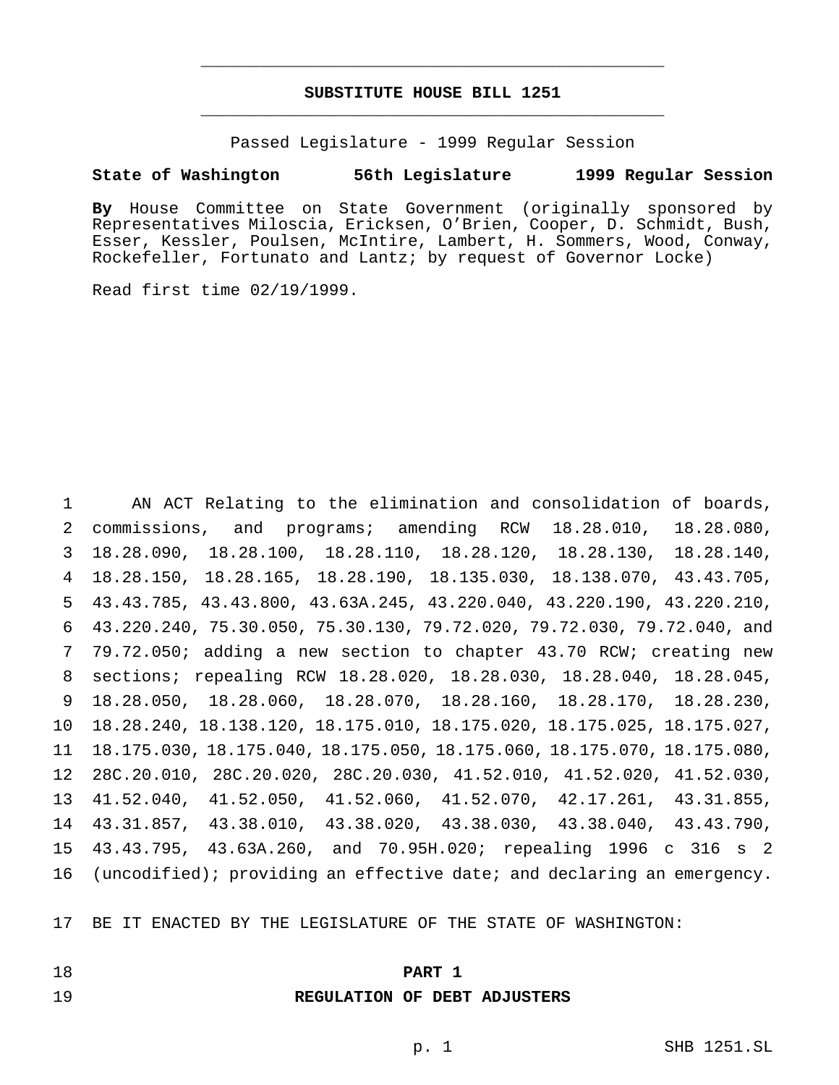## **SUBSTITUTE HOUSE BILL 1251** \_\_\_\_\_\_\_\_\_\_\_\_\_\_\_\_\_\_\_\_\_\_\_\_\_\_\_\_\_\_\_\_\_\_\_\_\_\_\_\_\_\_\_\_\_\_\_

\_\_\_\_\_\_\_\_\_\_\_\_\_\_\_\_\_\_\_\_\_\_\_\_\_\_\_\_\_\_\_\_\_\_\_\_\_\_\_\_\_\_\_\_\_\_\_

Passed Legislature - 1999 Regular Session

#### **State of Washington 56th Legislature 1999 Regular Session**

**By** House Committee on State Government (originally sponsored by Representatives Miloscia, Ericksen, O'Brien, Cooper, D. Schmidt, Bush, Esser, Kessler, Poulsen, McIntire, Lambert, H. Sommers, Wood, Conway, Rockefeller, Fortunato and Lantz; by request of Governor Locke)

Read first time 02/19/1999.

 AN ACT Relating to the elimination and consolidation of boards, commissions, and programs; amending RCW 18.28.010, 18.28.080, 18.28.090, 18.28.100, 18.28.110, 18.28.120, 18.28.130, 18.28.140, 18.28.150, 18.28.165, 18.28.190, 18.135.030, 18.138.070, 43.43.705, 43.43.785, 43.43.800, 43.63A.245, 43.220.040, 43.220.190, 43.220.210, 43.220.240, 75.30.050, 75.30.130, 79.72.020, 79.72.030, 79.72.040, and 79.72.050; adding a new section to chapter 43.70 RCW; creating new sections; repealing RCW 18.28.020, 18.28.030, 18.28.040, 18.28.045, 18.28.050, 18.28.060, 18.28.070, 18.28.160, 18.28.170, 18.28.230, 18.28.240, 18.138.120, 18.175.010, 18.175.020, 18.175.025, 18.175.027, 18.175.030, 18.175.040, 18.175.050, 18.175.060, 18.175.070, 18.175.080, 28C.20.010, 28C.20.020, 28C.20.030, 41.52.010, 41.52.020, 41.52.030, 41.52.040, 41.52.050, 41.52.060, 41.52.070, 42.17.261, 43.31.855, 43.31.857, 43.38.010, 43.38.020, 43.38.030, 43.38.040, 43.43.790, 43.43.795, 43.63A.260, and 70.95H.020; repealing 1996 c 316 s 2 (uncodified); providing an effective date; and declaring an emergency.

BE IT ENACTED BY THE LEGISLATURE OF THE STATE OF WASHINGTON:

- 
- **PART 1**

#### **REGULATION OF DEBT ADJUSTERS**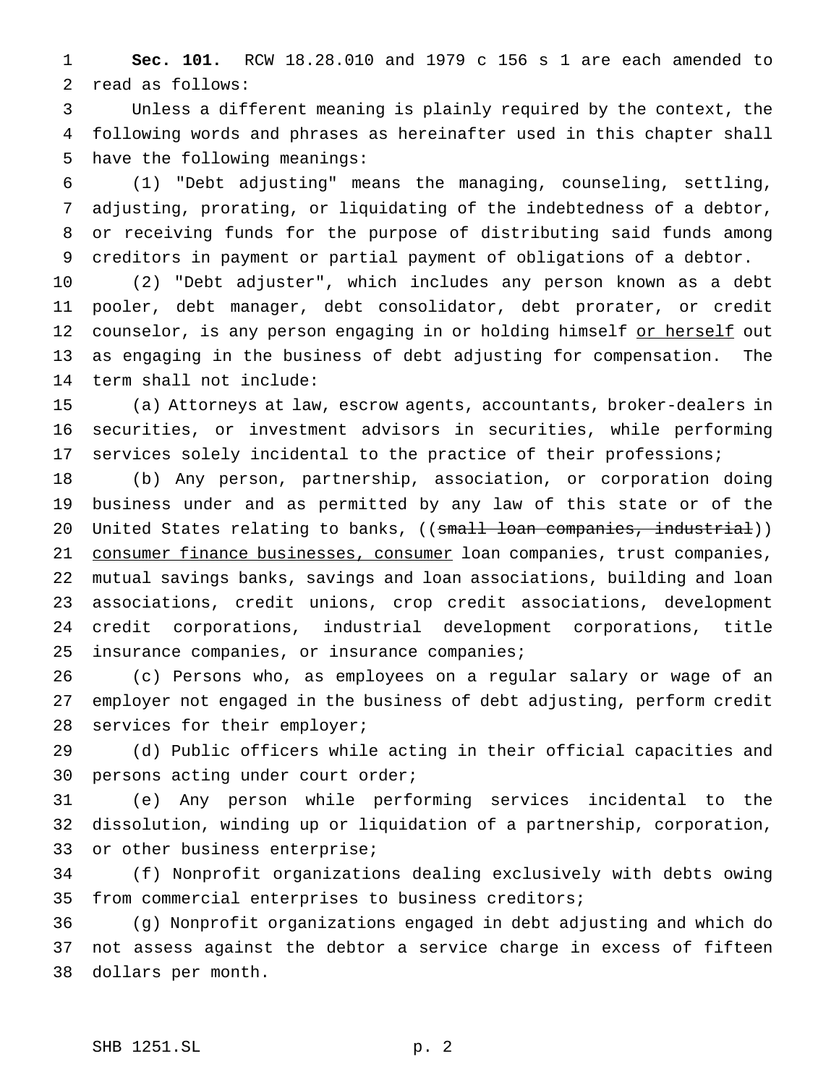**Sec. 101.** RCW 18.28.010 and 1979 c 156 s 1 are each amended to read as follows:

 Unless a different meaning is plainly required by the context, the following words and phrases as hereinafter used in this chapter shall have the following meanings:

 (1) "Debt adjusting" means the managing, counseling, settling, adjusting, prorating, or liquidating of the indebtedness of a debtor, or receiving funds for the purpose of distributing said funds among creditors in payment or partial payment of obligations of a debtor.

 (2) "Debt adjuster", which includes any person known as a debt pooler, debt manager, debt consolidator, debt prorater, or credit 12 counselor, is any person engaging in or holding himself or herself out as engaging in the business of debt adjusting for compensation. The term shall not include:

 (a) Attorneys at law, escrow agents, accountants, broker-dealers in securities, or investment advisors in securities, while performing 17 services solely incidental to the practice of their professions;

 (b) Any person, partnership, association, or corporation doing business under and as permitted by any law of this state or of the 20 United States relating to banks, ((small loan companies, industrial)) 21 consumer finance businesses, consumer loan companies, trust companies, mutual savings banks, savings and loan associations, building and loan associations, credit unions, crop credit associations, development credit corporations, industrial development corporations, title insurance companies, or insurance companies;

 (c) Persons who, as employees on a regular salary or wage of an employer not engaged in the business of debt adjusting, perform credit 28 services for their employer;

 (d) Public officers while acting in their official capacities and persons acting under court order;

 (e) Any person while performing services incidental to the dissolution, winding up or liquidation of a partnership, corporation, or other business enterprise;

 (f) Nonprofit organizations dealing exclusively with debts owing from commercial enterprises to business creditors;

 (g) Nonprofit organizations engaged in debt adjusting and which do not assess against the debtor a service charge in excess of fifteen dollars per month.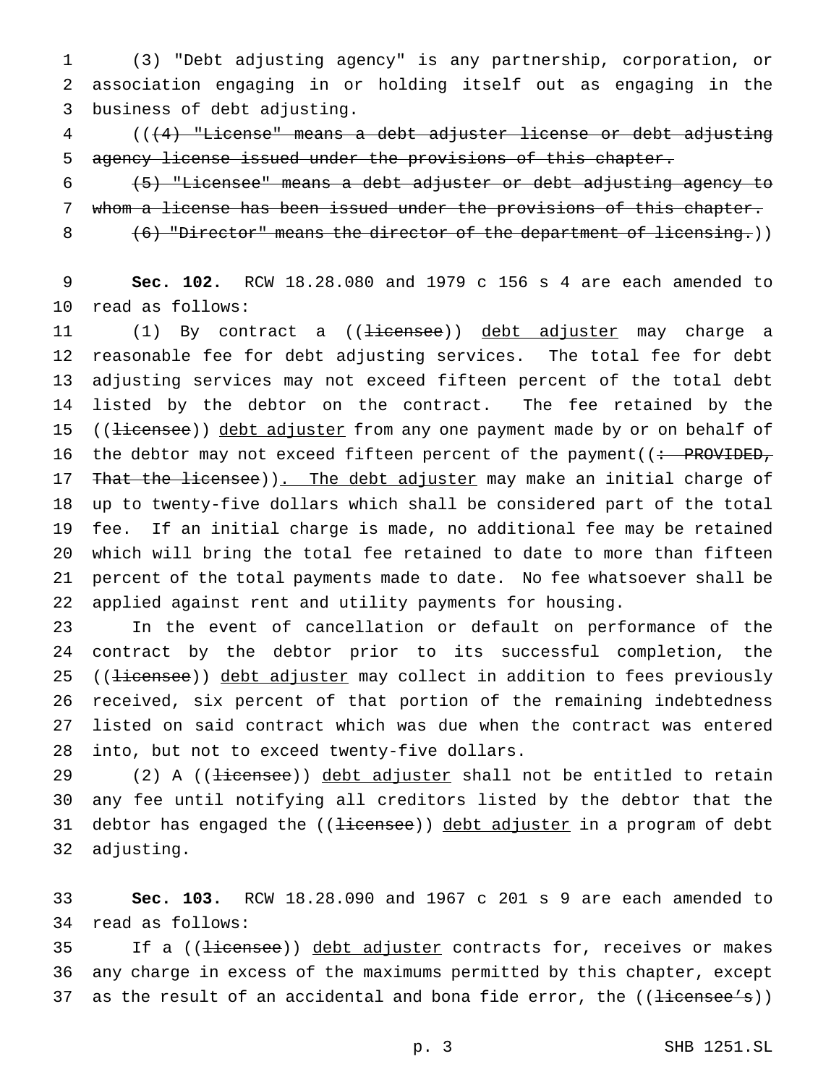(3) "Debt adjusting agency" is any partnership, corporation, or association engaging in or holding itself out as engaging in the business of debt adjusting.

 (((4) "License" means a debt adjuster license or debt adjusting agency license issued under the provisions of this chapter.

 (5) "Licensee" means a debt adjuster or debt adjusting agency to whom a license has been issued under the provisions of this chapter.

8 (6) "Director" means the director of the department of licensing.)

 **Sec. 102.** RCW 18.28.080 and 1979 c 156 s 4 are each amended to read as follows:

11 (1) By contract a ((<del>licensee</del>)) debt adjuster may charge a reasonable fee for debt adjusting services. The total fee for debt adjusting services may not exceed fifteen percent of the total debt listed by the debtor on the contract. The fee retained by the 15 ((<del>licensee</del>)) debt adjuster from any one payment made by or on behalf of 16 the debtor may not exceed fifteen percent of the payment ( $\div$  PROVIDED, 17 That the licensee)). The debt adjuster may make an initial charge of up to twenty-five dollars which shall be considered part of the total fee. If an initial charge is made, no additional fee may be retained which will bring the total fee retained to date to more than fifteen percent of the total payments made to date. No fee whatsoever shall be applied against rent and utility payments for housing.

 In the event of cancellation or default on performance of the contract by the debtor prior to its successful completion, the 25 ((<del>licensee</del>)) debt adjuster may collect in addition to fees previously received, six percent of that portion of the remaining indebtedness listed on said contract which was due when the contract was entered into, but not to exceed twenty-five dollars.

29 (2) A ((<del>licensee</del>)) debt adjuster shall not be entitled to retain any fee until notifying all creditors listed by the debtor that the 31 debtor has engaged the ((<del>licensee</del>)) debt adjuster in a program of debt adjusting.

 **Sec. 103.** RCW 18.28.090 and 1967 c 201 s 9 are each amended to read as follows:

35 If a ((<del>licensee</del>)) debt adjuster contracts for, receives or makes any charge in excess of the maximums permitted by this chapter, except 37 as the result of an accidental and bona fide error, the  $((\text{tieensee's}))$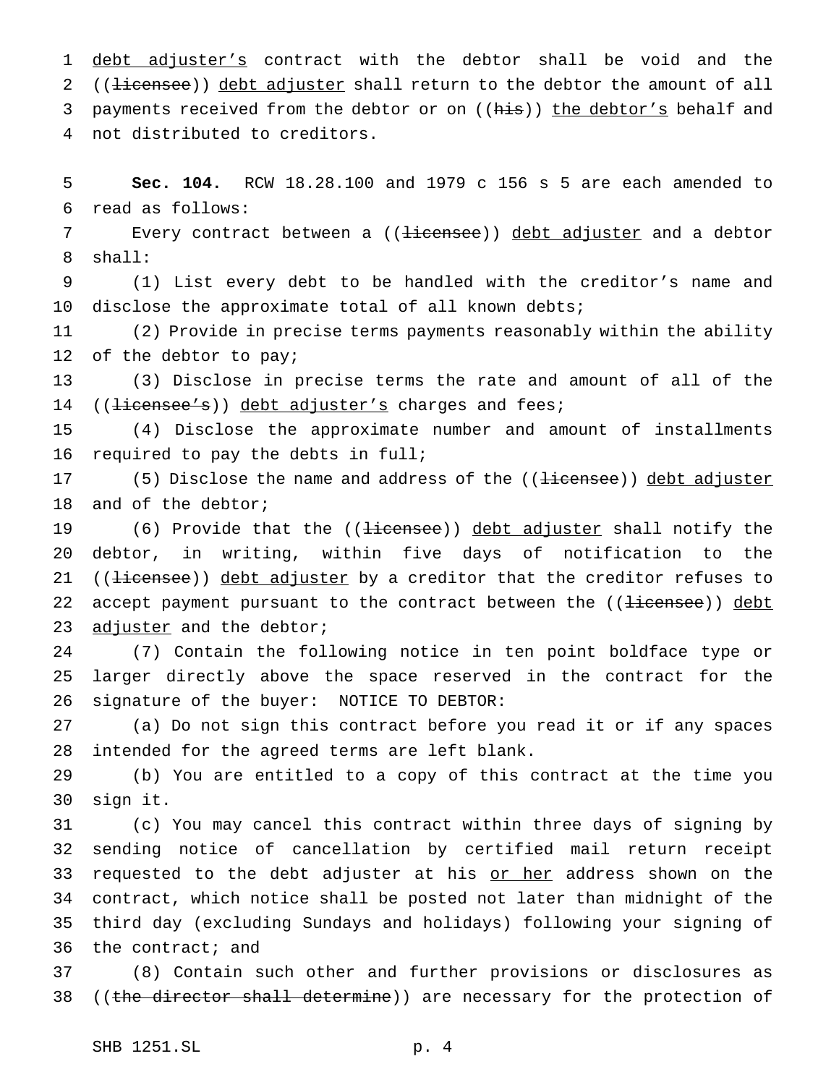1 debt adjuster's contract with the debtor shall be void and the 2 ((<del>licensee</del>)) debt adjuster shall return to the debtor the amount of all 3 payments received from the debtor or on ((his)) the debtor's behalf and not distributed to creditors.

 **Sec. 104.** RCW 18.28.100 and 1979 c 156 s 5 are each amended to read as follows:

7 Every contract between a ((<del>licensee</del>)) debt adjuster and a debtor shall:

 (1) List every debt to be handled with the creditor's name and disclose the approximate total of all known debts;

 (2) Provide in precise terms payments reasonably within the ability of the debtor to pay;

 (3) Disclose in precise terms the rate and amount of all of the 14 ((<del>licensee's</del>)) debt adjuster's charges and fees;

 (4) Disclose the approximate number and amount of installments required to pay the debts in full;

17 (5) Disclose the name and address of the ((<del>licensee</del>)) debt adjuster and of the debtor;

19 (6) Provide that the ((<del>licensee</del>)) debt adjuster shall notify the debtor, in writing, within five days of notification to the 21 ((<del>licensee</del>)) debt adjuster by a creditor that the creditor refuses to 22 accept payment pursuant to the contract between the ((<del>licensee</del>)) debt 23 adjuster and the debtor;

 (7) Contain the following notice in ten point boldface type or larger directly above the space reserved in the contract for the signature of the buyer: NOTICE TO DEBTOR:

 (a) Do not sign this contract before you read it or if any spaces intended for the agreed terms are left blank.

 (b) You are entitled to a copy of this contract at the time you sign it.

 (c) You may cancel this contract within three days of signing by sending notice of cancellation by certified mail return receipt 33 requested to the debt adjuster at his or her address shown on the contract, which notice shall be posted not later than midnight of the third day (excluding Sundays and holidays) following your signing of the contract; and

 (8) Contain such other and further provisions or disclosures as 38 ((the director shall determine)) are necessary for the protection of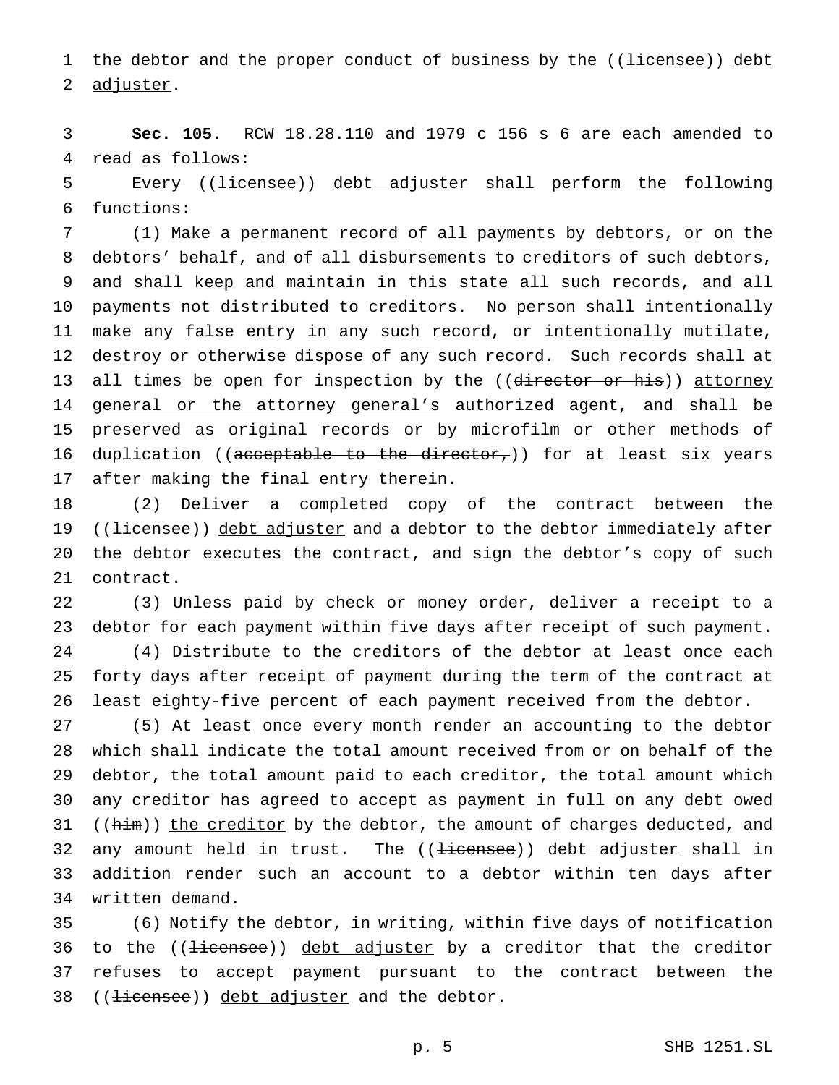1 the debtor and the proper conduct of business by the ((<del>licensee</del>)) debt adjuster.

 **Sec. 105.** RCW 18.28.110 and 1979 c 156 s 6 are each amended to read as follows:

5 Every ((<del>licensee</del>)) debt adjuster shall perform the following functions:

 (1) Make a permanent record of all payments by debtors, or on the debtors' behalf, and of all disbursements to creditors of such debtors, and shall keep and maintain in this state all such records, and all payments not distributed to creditors. No person shall intentionally make any false entry in any such record, or intentionally mutilate, destroy or otherwise dispose of any such record. Such records shall at 13 all times be open for inspection by the ((director or his)) attorney 14 general or the attorney general's authorized agent, and shall be preserved as original records or by microfilm or other methods of 16 duplication (( $\alpha$  deceptable to the director,)) for at least six years after making the final entry therein.

 (2) Deliver a completed copy of the contract between the 19 ((<del>licensee</del>)) debt adjuster and a debtor to the debtor immediately after the debtor executes the contract, and sign the debtor's copy of such contract.

 (3) Unless paid by check or money order, deliver a receipt to a debtor for each payment within five days after receipt of such payment. (4) Distribute to the creditors of the debtor at least once each forty days after receipt of payment during the term of the contract at least eighty-five percent of each payment received from the debtor.

 (5) At least once every month render an accounting to the debtor which shall indicate the total amount received from or on behalf of the debtor, the total amount paid to each creditor, the total amount which any creditor has agreed to accept as payment in full on any debt owed 31 ( $(him)$ ) the creditor by the debtor, the amount of charges deducted, and 32 any amount held in trust. The ((<del>licensee</del>)) debt adjuster shall in addition render such an account to a debtor within ten days after written demand.

 (6) Notify the debtor, in writing, within five days of notification 36 to the ((<del>licensee</del>)) debt adjuster by a creditor that the creditor refuses to accept payment pursuant to the contract between the 38 ((<del>licensee</del>)) debt adjuster and the debtor.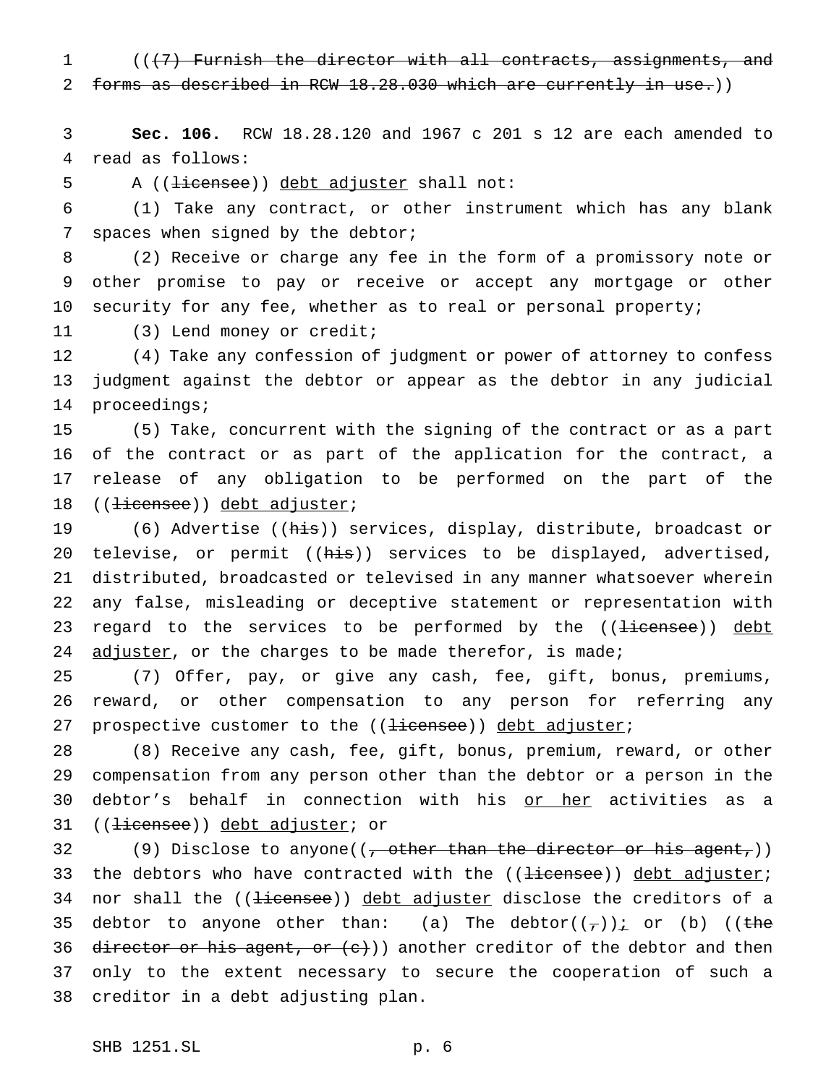(((7) Furnish the director with all contracts, assignments, and forms as described in RCW 18.28.030 which are currently in use.))

 **Sec. 106.** RCW 18.28.120 and 1967 c 201 s 12 are each amended to read as follows:

5 A ((<del>licensee</del>)) debt adjuster shall not:

 (1) Take any contract, or other instrument which has any blank spaces when signed by the debtor;

 (2) Receive or charge any fee in the form of a promissory note or other promise to pay or receive or accept any mortgage or other security for any fee, whether as to real or personal property;

(3) Lend money or credit;

 (4) Take any confession of judgment or power of attorney to confess judgment against the debtor or appear as the debtor in any judicial proceedings;

 (5) Take, concurrent with the signing of the contract or as a part of the contract or as part of the application for the contract, a release of any obligation to be performed on the part of the 18 ((<del>licensee</del>)) debt adjuster;

19 (6) Advertise ((his)) services, display, distribute, broadcast or 20 televise, or permit ((his)) services to be displayed, advertised, distributed, broadcasted or televised in any manner whatsoever wherein any false, misleading or deceptive statement or representation with 23 regard to the services to be performed by the ((licensee)) debt 24  $\frac{adjuster}{i}$ , or the charges to be made therefor, is made;

 (7) Offer, pay, or give any cash, fee, gift, bonus, premiums, reward, or other compensation to any person for referring any 27 prospective customer to the ((<del>licensee</del>)) debt adjuster;

 (8) Receive any cash, fee, gift, bonus, premium, reward, or other compensation from any person other than the debtor or a person in the debtor's behalf in connection with his or her activities as a 31 ((<del>licensee</del>)) debt adjuster; or

32 (9) Disclose to anyone((<del>, other than the director or his agent,</del>)) 33 the debtors who have contracted with the ((<del>licensee</del>)) debt adjuster; 34 nor shall the ((<del>licensee</del>)) debt adjuster disclose the creditors of a 35 debtor to anyone other than: (a) The debtor( $(\tau)$ ) i or (b) ((the 36 director or his agent, or  $(e)$ ) another creditor of the debtor and then only to the extent necessary to secure the cooperation of such a creditor in a debt adjusting plan.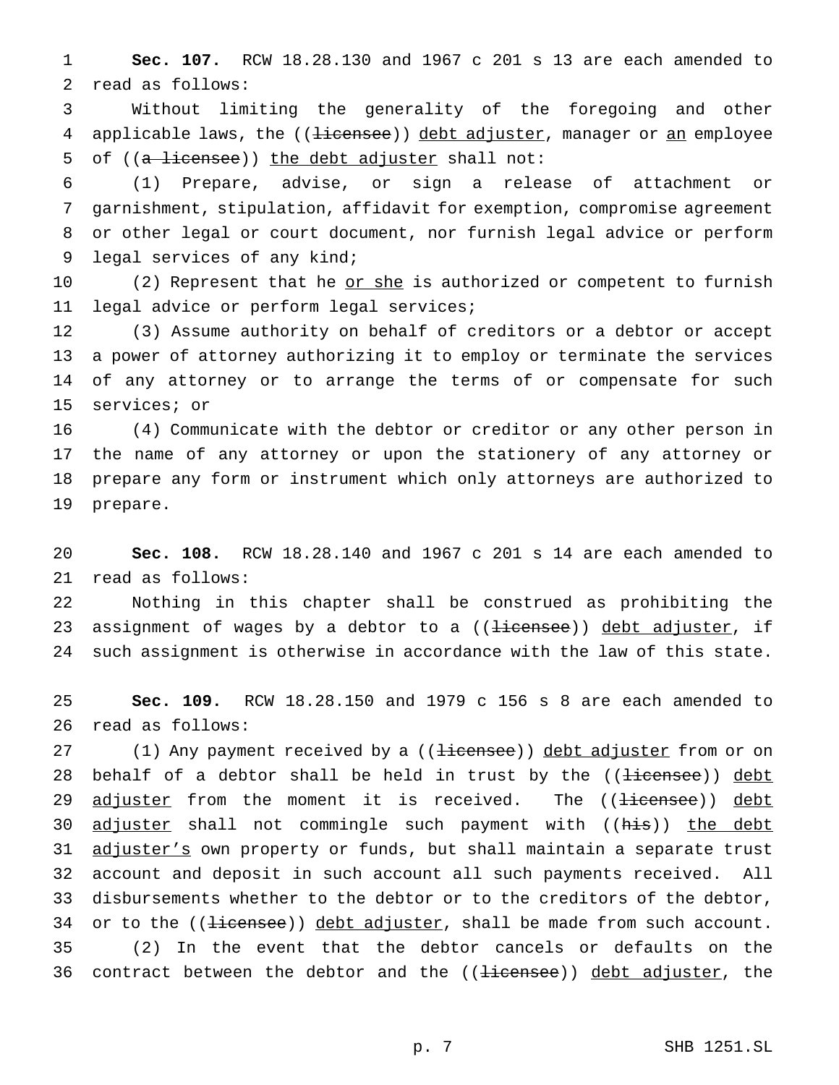**Sec. 107.** RCW 18.28.130 and 1967 c 201 s 13 are each amended to read as follows:

 Without limiting the generality of the foregoing and other 4 applicable laws, the ((<del>licensee</del>)) debt adjuster, manager or an employee 5 of ((a licensee)) the debt adjuster shall not:

 (1) Prepare, advise, or sign a release of attachment or garnishment, stipulation, affidavit for exemption, compromise agreement or other legal or court document, nor furnish legal advice or perform legal services of any kind;

10 (2) Represent that he or she is authorized or competent to furnish legal advice or perform legal services;

 (3) Assume authority on behalf of creditors or a debtor or accept a power of attorney authorizing it to employ or terminate the services of any attorney or to arrange the terms of or compensate for such services; or

 (4) Communicate with the debtor or creditor or any other person in the name of any attorney or upon the stationery of any attorney or prepare any form or instrument which only attorneys are authorized to prepare.

 **Sec. 108.** RCW 18.28.140 and 1967 c 201 s 14 are each amended to read as follows:

 Nothing in this chapter shall be construed as prohibiting the 23 assignment of wages by a debtor to a ((<del>licensee</del>)) debt adjuster, if such assignment is otherwise in accordance with the law of this state.

 **Sec. 109.** RCW 18.28.150 and 1979 c 156 s 8 are each amended to read as follows:

27 (1) Any payment received by a ((<del>licensee</del>)) debt adjuster from or on 28 behalf of a debtor shall be held in trust by the ((<del>licensee</del>)) debt 29 adjuster from the moment it is received. The ((<del>licensee</del>)) debt 30 adjuster shall not commingle such payment with ((his)) the debt 31 adjuster's own property or funds, but shall maintain a separate trust account and deposit in such account all such payments received. All disbursements whether to the debtor or to the creditors of the debtor, 34 or to the  $($  ( $\frac{1}{1}$   $\frac{1}{1}$   $\frac{1}{1}$   $\frac{1}{1}$   $\frac{1}{1}$   $\frac{1}{1}$   $\frac{1}{1}$   $\frac{1}{1}$   $\frac{1}{1}$   $\frac{1}{1}$   $\frac{1}{1}$   $\frac{1}{1}$   $\frac{1}{1}$   $\frac{1}{1}$   $\frac{1}{1}$   $\frac{1}{1}$   $\frac{1}{1}$   $\frac{1}{1}$   $\frac{1}{1}$   $\frac{1}{1}$   $\frac$  (2) In the event that the debtor cancels or defaults on the 36 contract between the debtor and the ((<del>licensee</del>)) debt adjuster, the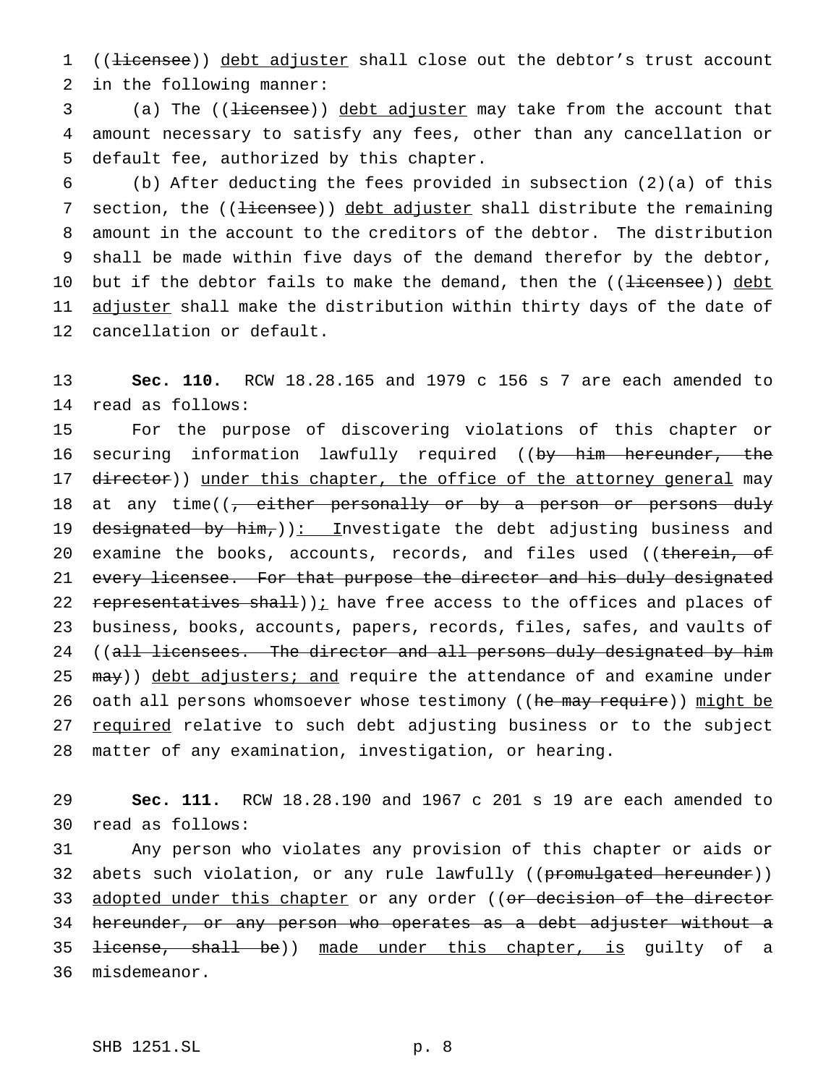1 ((<del>licensee</del>)) debt adjuster shall close out the debtor's trust account 2 in the following manner:

3 (a) The ((<del>licensee</del>)) debt adjuster may take from the account that 4 amount necessary to satisfy any fees, other than any cancellation or 5 default fee, authorized by this chapter.

6 (b) After deducting the fees provided in subsection (2)(a) of this 7 section, the ((<del>licensee</del>)) debt adjuster shall distribute the remaining 8 amount in the account to the creditors of the debtor. The distribution 9 shall be made within five days of the demand therefor by the debtor, 10 but if the debtor fails to make the demand, then the ((licensee)) debt 11 adjuster shall make the distribution within thirty days of the date of 12 cancellation or default.

13 **Sec. 110.** RCW 18.28.165 and 1979 c 156 s 7 are each amended to 14 read as follows:

15 For the purpose of discovering violations of this chapter or 16 securing information lawfully required ((by him hereunder, the 17 director)) under this chapter, the office of the attorney general may 18 at any time( $\left(\frac{1}{1}\right)$  either personally or by a person or persons duly 19 designated by him,  $(i)$ : Investigate the debt adjusting business and 20 examine the books, accounts, records, and files used ((therein, of 21 every licensee. For that purpose the director and his duly designated 22 representatives shall)) $i$  have free access to the offices and places of 23 business, books, accounts, papers, records, files, safes, and vaults of 24 ((all licensees. The director and all persons duly designated by him 25 may)) debt adjusters; and require the attendance of and examine under 26 oath all persons whomsoever whose testimony ((he may require)) might be 27 required relative to such debt adjusting business or to the subject 28 matter of any examination, investigation, or hearing.

29 **Sec. 111.** RCW 18.28.190 and 1967 c 201 s 19 are each amended to 30 read as follows:

31 Any person who violates any provision of this chapter or aids or 32 abets such violation, or any rule lawfully ((promulgated hereunder)) 33 <u>adopted under this chapter</u> or any order ((<del>or decision of the director</del> 34 hereunder, or any person who operates as a debt adjuster without a 35 <del>license, shall be</del>)) made under this chapter, is guilty of a 36 misdemeanor.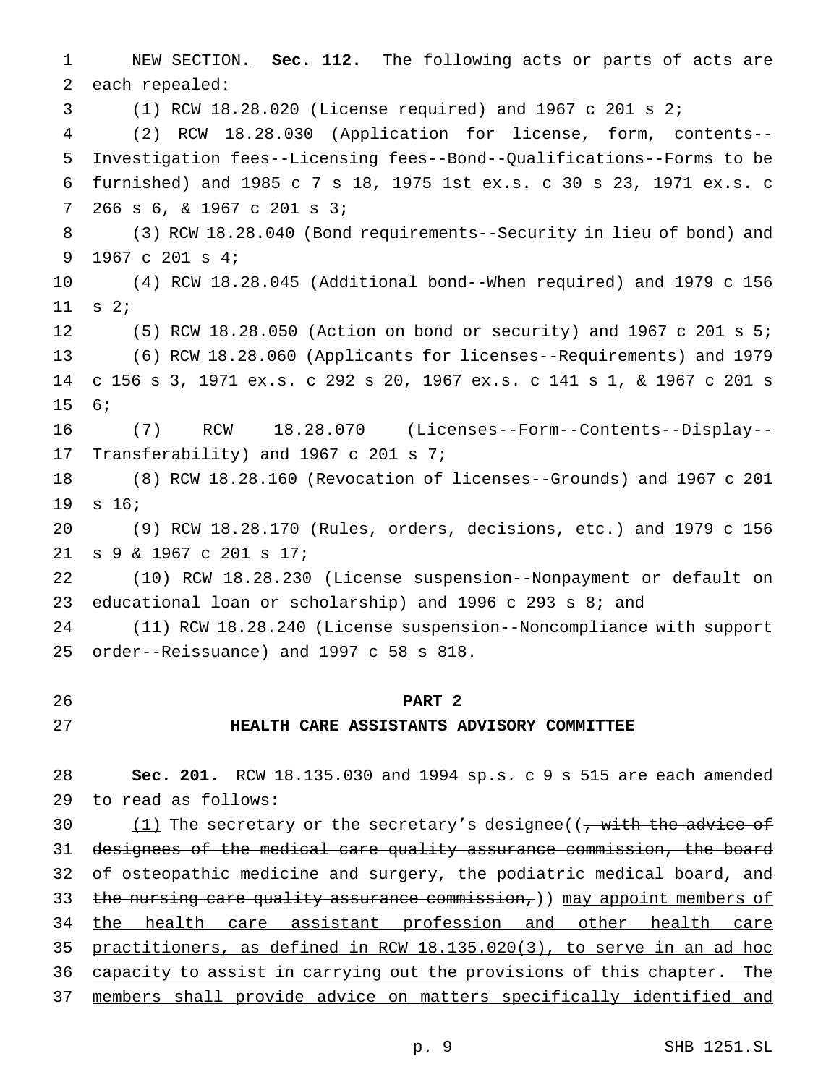NEW SECTION. **Sec. 112.** The following acts or parts of acts are each repealed:

(1) RCW 18.28.020 (License required) and 1967 c 201 s 2;

 (2) RCW 18.28.030 (Application for license, form, contents-- Investigation fees--Licensing fees--Bond--Qualifications--Forms to be furnished) and 1985 c 7 s 18, 1975 1st ex.s. c 30 s 23, 1971 ex.s. c 266 s 6, & 1967 c 201 s 3;

 (3) RCW 18.28.040 (Bond requirements--Security in lieu of bond) and 1967 c 201 s 4;

 (4) RCW 18.28.045 (Additional bond--When required) and 1979 c 156 s 2;

 (5) RCW 18.28.050 (Action on bond or security) and 1967 c 201 s 5; (6) RCW 18.28.060 (Applicants for licenses--Requirements) and 1979 c 156 s 3, 1971 ex.s. c 292 s 20, 1967 ex.s. c 141 s 1, & 1967 c 201 s 6;

 (7) RCW 18.28.070 (Licenses--Form--Contents--Display-- Transferability) and 1967 c 201 s 7;

 (8) RCW 18.28.160 (Revocation of licenses--Grounds) and 1967 c 201 s 16;

 (9) RCW 18.28.170 (Rules, orders, decisions, etc.) and 1979 c 156 s 9 & 1967 c 201 s 17;

 (10) RCW 18.28.230 (License suspension--Nonpayment or default on educational loan or scholarship) and 1996 c 293 s 8; and

 (11) RCW 18.28.240 (License suspension--Noncompliance with support order--Reissuance) and 1997 c 58 s 818.

### **PART 2**

#### **HEALTH CARE ASSISTANTS ADVISORY COMMITTEE**

 **Sec. 201.** RCW 18.135.030 and 1994 sp.s. c 9 s 515 are each amended to read as follows:

 $(1)$  The secretary or the secretary's designee((, with the advice of 31 designees of the medical care quality assurance commission, the board 32 of osteopathic medicine and surgery, the podiatric medical board, and 33 the nursing care quality assurance commission,)) may appoint members of 34 the health care assistant profession and other health care practitioners, as defined in RCW 18.135.020(3), to serve in an ad hoc 36 capacity to assist in carrying out the provisions of this chapter. The members shall provide advice on matters specifically identified and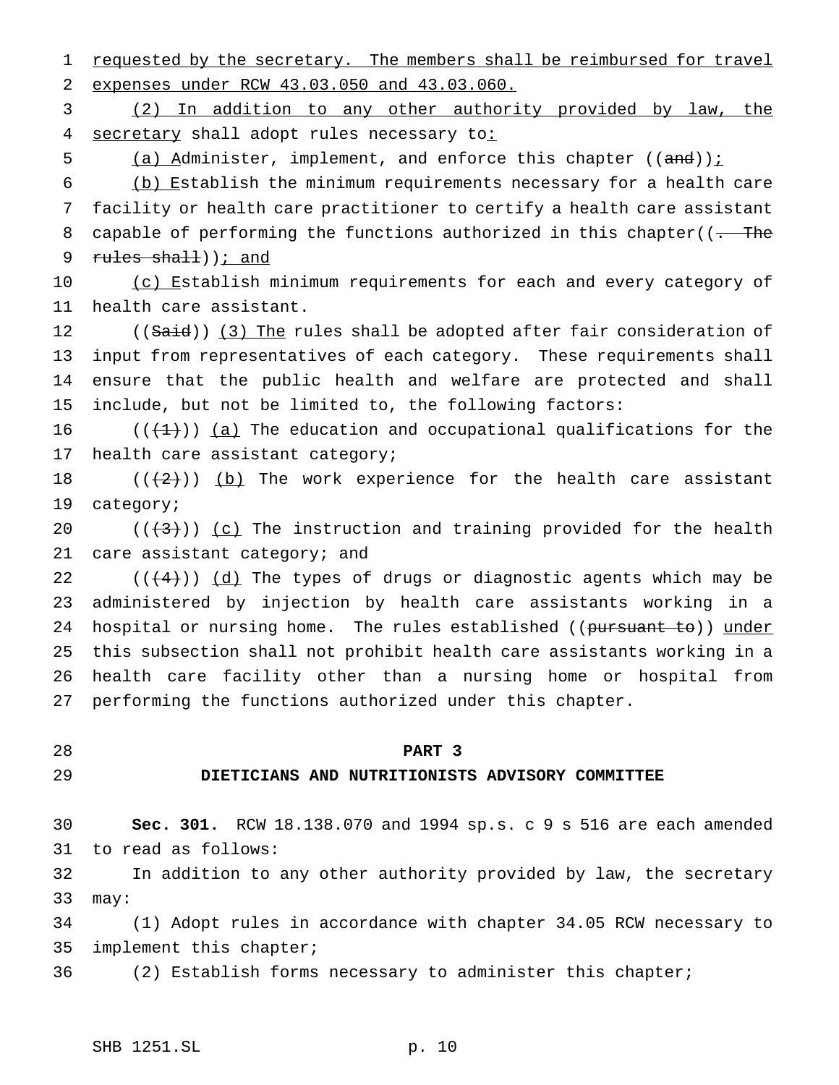1 requested by the secretary. The members shall be reimbursed for travel expenses under RCW 43.03.050 and 43.03.060.

 (2) In addition to any other authority provided by law, the 4 secretary shall adopt rules necessary to:

5 (a) Administer, implement, and enforce this chapter  $((and))$  i

 (b) Establish the minimum requirements necessary for a health care facility or health care practitioner to certify a health care assistant 8 capable of performing the functions authorized in this chapter( $(-$ The 9 rules shall)); and

10 (c) Establish minimum requirements for each and every category of health care assistant.

12 ((Said)) (3) The rules shall be adopted after fair consideration of input from representatives of each category. These requirements shall ensure that the public health and welfare are protected and shall include, but not be limited to, the following factors:

 $((+1))$  (a) The education and occupational qualifications for the health care assistant category;

 $((+2))$  (b) The work experience for the health care assistant category;

 $((+3))$   $(c)$  The instruction and training provided for the health 21 care assistant category; and

22 ( $(\frac{4}{4})$ )  $\frac{d}{d}$  The types of drugs or diagnostic agents which may be administered by injection by health care assistants working in a 24 hospital or nursing home. The rules established ((pursuant to)) under this subsection shall not prohibit health care assistants working in a health care facility other than a nursing home or hospital from performing the functions authorized under this chapter.

### **PART 3**

## **DIETICIANS AND NUTRITIONISTS ADVISORY COMMITTEE**

 **Sec. 301.** RCW 18.138.070 and 1994 sp.s. c 9 s 516 are each amended to read as follows:

 In addition to any other authority provided by law, the secretary may:

 (1) Adopt rules in accordance with chapter 34.05 RCW necessary to implement this chapter;

(2) Establish forms necessary to administer this chapter;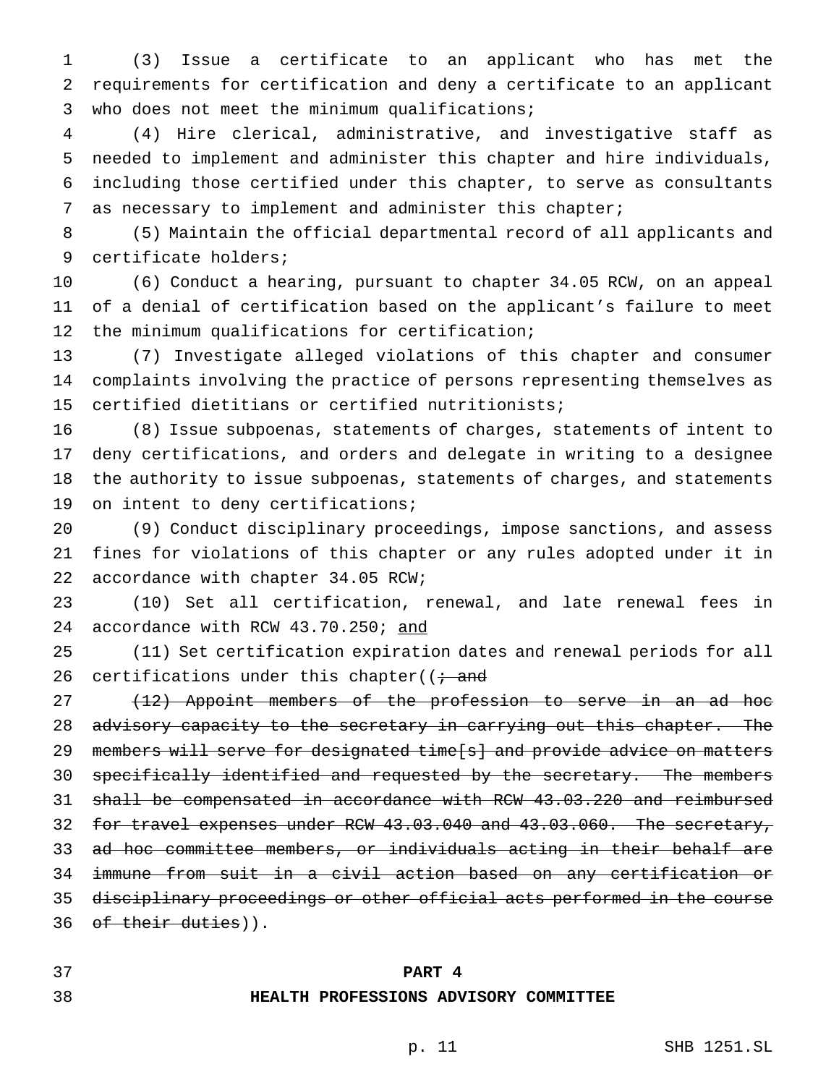(3) Issue a certificate to an applicant who has met the requirements for certification and deny a certificate to an applicant who does not meet the minimum qualifications;

 (4) Hire clerical, administrative, and investigative staff as needed to implement and administer this chapter and hire individuals, including those certified under this chapter, to serve as consultants as necessary to implement and administer this chapter;

 (5) Maintain the official departmental record of all applicants and certificate holders;

 (6) Conduct a hearing, pursuant to chapter 34.05 RCW, on an appeal of a denial of certification based on the applicant's failure to meet the minimum qualifications for certification;

 (7) Investigate alleged violations of this chapter and consumer complaints involving the practice of persons representing themselves as certified dietitians or certified nutritionists;

 (8) Issue subpoenas, statements of charges, statements of intent to deny certifications, and orders and delegate in writing to a designee the authority to issue subpoenas, statements of charges, and statements on intent to deny certifications;

 (9) Conduct disciplinary proceedings, impose sanctions, and assess fines for violations of this chapter or any rules adopted under it in accordance with chapter 34.05 RCW;

 (10) Set all certification, renewal, and late renewal fees in 24 accordance with RCW 43.70.250; and

 (11) Set certification expiration dates and renewal periods for all 26 certifications under this chapter( $(i \cdot$  and

27 (12) Appoint members of the profession to serve in an ad hoc 28 advisory capacity to the secretary in carrying out this chapter. The 29 members will serve for designated time[s] and provide advice on matters 30 specifically identified and requested by the secretary. The members shall be compensated in accordance with RCW 43.03.220 and reimbursed 32 for travel expenses under RCW 43.03.040 and 43.03.060. The secretary, ad hoc committee members, or individuals acting in their behalf are immune from suit in a civil action based on any certification or disciplinary proceedings or other official acts performed in the course 36 of their duties)).

#### **PART 4**

#### **HEALTH PROFESSIONS ADVISORY COMMITTEE**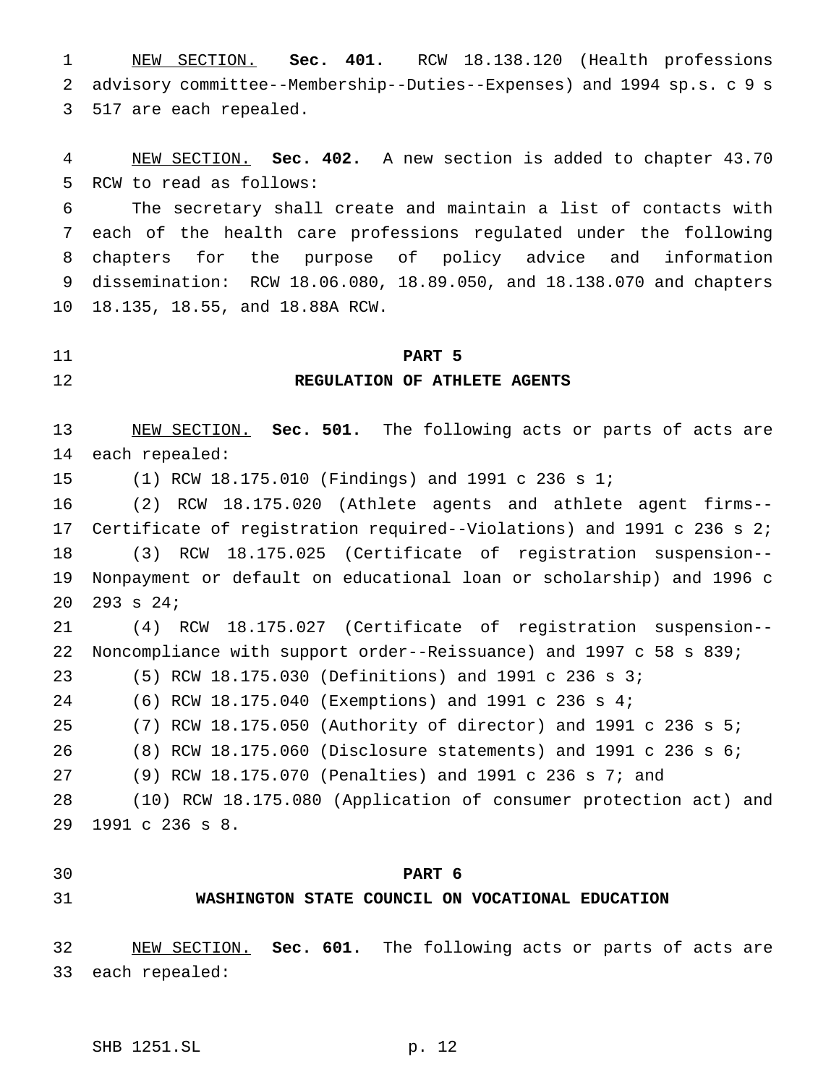NEW SECTION. **Sec. 401.** RCW 18.138.120 (Health professions advisory committee--Membership--Duties--Expenses) and 1994 sp.s. c 9 s 517 are each repealed.

 NEW SECTION. **Sec. 402.** A new section is added to chapter 43.70 RCW to read as follows:

 The secretary shall create and maintain a list of contacts with each of the health care professions regulated under the following chapters for the purpose of policy advice and information dissemination: RCW 18.06.080, 18.89.050, and 18.138.070 and chapters 18.135, 18.55, and 18.88A RCW.

### **PART 5**

## **REGULATION OF ATHLETE AGENTS**

 NEW SECTION. **Sec. 501.** The following acts or parts of acts are each repealed:

(1) RCW 18.175.010 (Findings) and 1991 c 236 s 1;

 (2) RCW 18.175.020 (Athlete agents and athlete agent firms-- Certificate of registration required--Violations) and 1991 c 236 s 2; (3) RCW 18.175.025 (Certificate of registration suspension-- Nonpayment or default on educational loan or scholarship) and 1996 c 293 s 24;

 (4) RCW 18.175.027 (Certificate of registration suspension-- Noncompliance with support order--Reissuance) and 1997 c 58 s 839;

(5) RCW 18.175.030 (Definitions) and 1991 c 236 s 3;

(6) RCW 18.175.040 (Exemptions) and 1991 c 236 s 4;

(7) RCW 18.175.050 (Authority of director) and 1991 c 236 s 5;

(8) RCW 18.175.060 (Disclosure statements) and 1991 c 236 s 6;

(9) RCW 18.175.070 (Penalties) and 1991 c 236 s 7; and

 (10) RCW 18.175.080 (Application of consumer protection act) and 1991 c 236 s 8.

**PART 6**

# **WASHINGTON STATE COUNCIL ON VOCATIONAL EDUCATION**

 NEW SECTION. **Sec. 601.** The following acts or parts of acts are each repealed: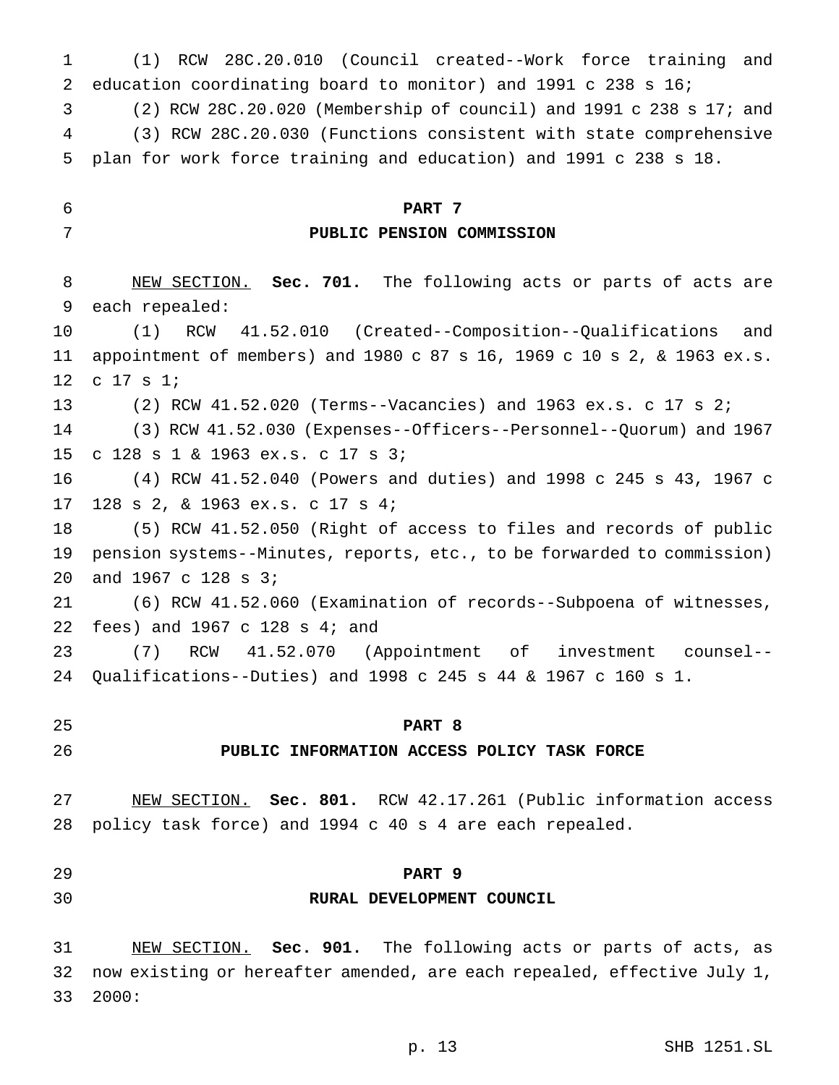education coordinating board to monitor) and 1991 c 238 s 16; (2) RCW 28C.20.020 (Membership of council) and 1991 c 238 s 17; and (3) RCW 28C.20.030 (Functions consistent with state comprehensive plan for work force training and education) and 1991 c 238 s 18. **PART 7 PUBLIC PENSION COMMISSION** NEW SECTION. **Sec. 701.** The following acts or parts of acts are each repealed: (1) RCW 41.52.010 (Created--Composition--Qualifications and appointment of members) and 1980 c 87 s 16, 1969 c 10 s 2, & 1963 ex.s. c 17 s 1; (2) RCW 41.52.020 (Terms--Vacancies) and 1963 ex.s. c 17 s 2; (3) RCW 41.52.030 (Expenses--Officers--Personnel--Quorum) and 1967 c 128 s 1 & 1963 ex.s. c 17 s 3; (4) RCW 41.52.040 (Powers and duties) and 1998 c 245 s 43, 1967 c 128 s 2, & 1963 ex.s. c 17 s 4; (5) RCW 41.52.050 (Right of access to files and records of public pension systems--Minutes, reports, etc., to be forwarded to commission) and 1967 c 128 s 3; (6) RCW 41.52.060 (Examination of records--Subpoena of witnesses, fees) and 1967 c 128 s 4; and (7) RCW 41.52.070 (Appointment of investment counsel-- Qualifications--Duties) and 1998 c 245 s 44 & 1967 c 160 s 1. **PART 8 PUBLIC INFORMATION ACCESS POLICY TASK FORCE** NEW SECTION. **Sec. 801.** RCW 42.17.261 (Public information access policy task force) and 1994 c 40 s 4 are each repealed. **PART 9 RURAL DEVELOPMENT COUNCIL** NEW SECTION. **Sec. 901.** The following acts or parts of acts, as now existing or hereafter amended, are each repealed, effective July 1,

(1) RCW 28C.20.010 (Council created--Work force training and

2000:

p. 13 SHB 1251.SL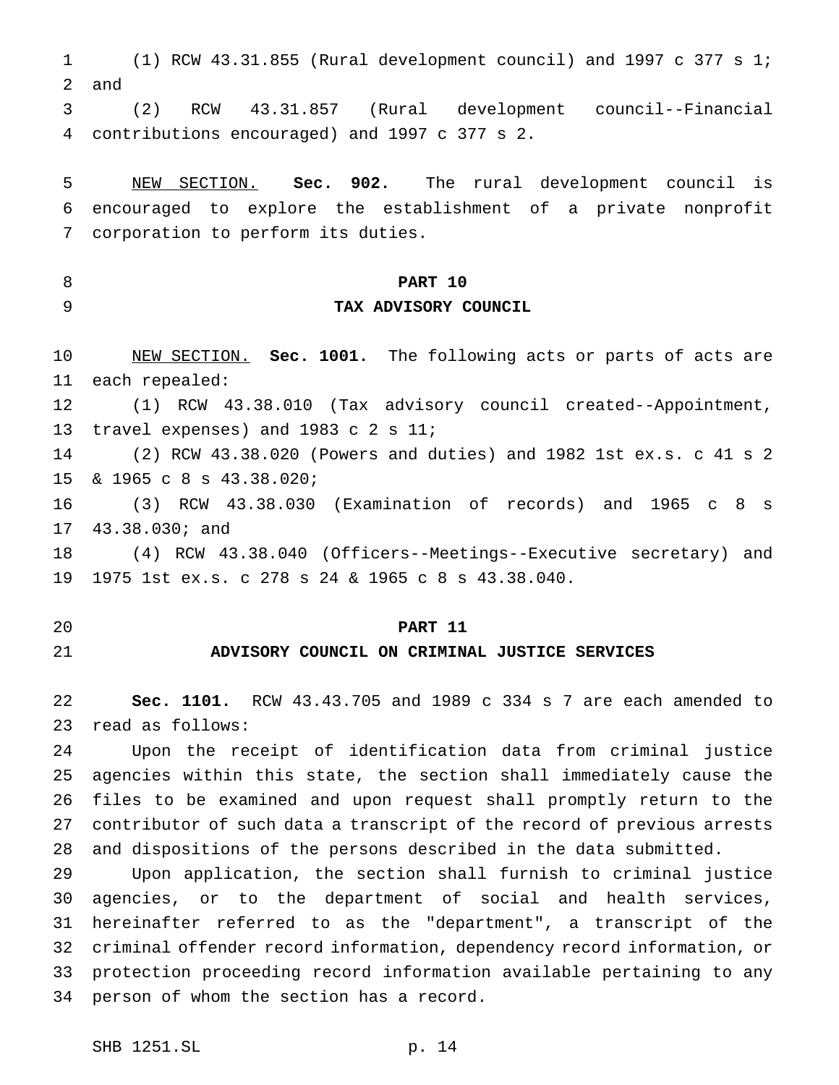(1) RCW 43.31.855 (Rural development council) and 1997 c 377 s 1; and

 (2) RCW 43.31.857 (Rural development council--Financial contributions encouraged) and 1997 c 377 s 2.

 NEW SECTION. **Sec. 902.** The rural development council is encouraged to explore the establishment of a private nonprofit corporation to perform its duties.

#### **PART 10**

#### **TAX ADVISORY COUNCIL**

 NEW SECTION. **Sec. 1001.** The following acts or parts of acts are each repealed:

 (1) RCW 43.38.010 (Tax advisory council created--Appointment, travel expenses) and 1983 c 2 s 11;

 (2) RCW 43.38.020 (Powers and duties) and 1982 1st ex.s. c 41 s 2 & 1965 c 8 s 43.38.020;

16 (3) RCW 43.38.030 (Examination of records) and 1965 c 8 s 43.38.030; and

 (4) RCW 43.38.040 (Officers--Meetings--Executive secretary) and 1975 1st ex.s. c 278 s 24 & 1965c8s 43.38.040.

#### **PART 11**

## **ADVISORY COUNCIL ON CRIMINAL JUSTICE SERVICES**

 **Sec. 1101.** RCW 43.43.705 and 1989 c 334 s 7 are each amended to read as follows:

 Upon the receipt of identification data from criminal justice agencies within this state, the section shall immediately cause the files to be examined and upon request shall promptly return to the contributor of such data a transcript of the record of previous arrests and dispositions of the persons described in the data submitted.

 Upon application, the section shall furnish to criminal justice agencies, or to the department of social and health services, hereinafter referred to as the "department", a transcript of the criminal offender record information, dependency record information, or protection proceeding record information available pertaining to any person of whom the section has a record.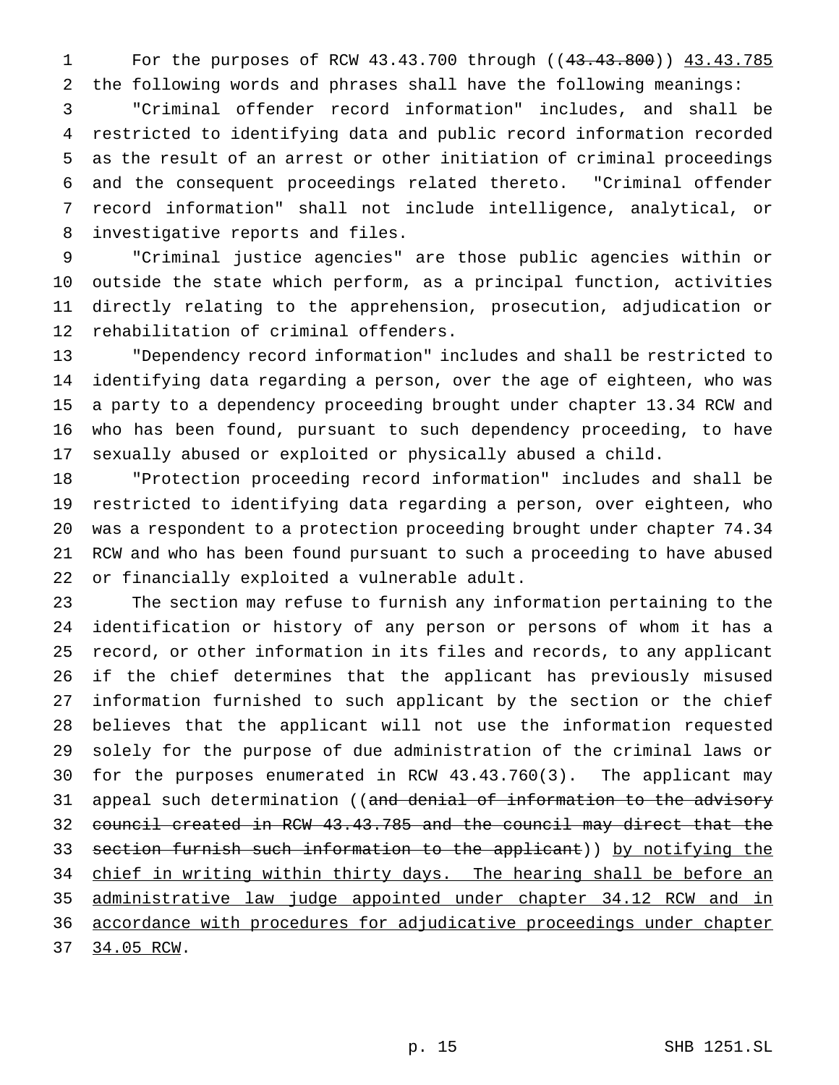For the purposes of RCW 43.43.700 through ((43.43.800)) 43.43.785 the following words and phrases shall have the following meanings:

 "Criminal offender record information" includes, and shall be restricted to identifying data and public record information recorded as the result of an arrest or other initiation of criminal proceedings and the consequent proceedings related thereto. "Criminal offender record information" shall not include intelligence, analytical, or investigative reports and files.

 "Criminal justice agencies" are those public agencies within or outside the state which perform, as a principal function, activities directly relating to the apprehension, prosecution, adjudication or rehabilitation of criminal offenders.

 "Dependency record information" includes and shall be restricted to identifying data regarding a person, over the age of eighteen, who was a party to a dependency proceeding brought under chapter 13.34 RCW and who has been found, pursuant to such dependency proceeding, to have sexually abused or exploited or physically abused a child.

 "Protection proceeding record information" includes and shall be restricted to identifying data regarding a person, over eighteen, who was a respondent to a protection proceeding brought under chapter 74.34 RCW and who has been found pursuant to such a proceeding to have abused or financially exploited a vulnerable adult.

 The section may refuse to furnish any information pertaining to the identification or history of any person or persons of whom it has a record, or other information in its files and records, to any applicant if the chief determines that the applicant has previously misused information furnished to such applicant by the section or the chief believes that the applicant will not use the information requested solely for the purpose of due administration of the criminal laws or for the purposes enumerated in RCW 43.43.760(3). The applicant may 31 appeal such determination ((and denial of information to the advisory council created in RCW 43.43.785 and the council may direct that the 33 section furnish such information to the applicant)) by notifying the 34 chief in writing within thirty days. The hearing shall be before an administrative law judge appointed under chapter 34.12 RCW and in accordance with procedures for adjudicative proceedings under chapter 34.05 RCW.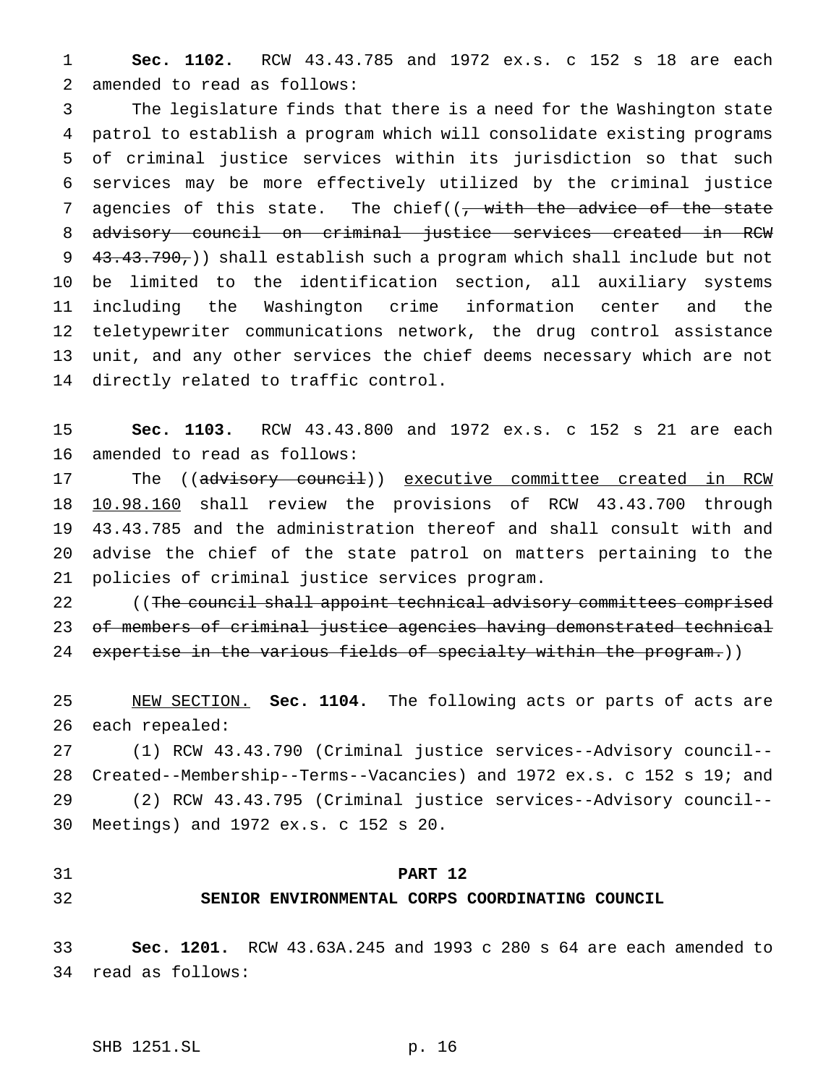**Sec. 1102.** RCW 43.43.785 and 1972 ex.s. c 152 s 18 are each amended to read as follows:

 The legislature finds that there is a need for the Washington state patrol to establish a program which will consolidate existing programs of criminal justice services within its jurisdiction so that such services may be more effectively utilized by the criminal justice 7 agencies of this state. The chief( $(7, \text{with the advice of the state})$  advisory council on criminal justice services created in RCW 9 43.43.790,) shall establish such a program which shall include but not be limited to the identification section, all auxiliary systems including the Washington crime information center and the teletypewriter communications network, the drug control assistance unit, and any other services the chief deems necessary which are not directly related to traffic control.

 **Sec. 1103.** RCW 43.43.800 and 1972 ex.s. c 152 s 21 are each amended to read as follows:

17 The ((advisory council)) executive committee created in RCW 10.98.160 shall review the provisions of RCW 43.43.700 through 43.43.785 and the administration thereof and shall consult with and advise the chief of the state patrol on matters pertaining to the policies of criminal justice services program.

22 ((The council shall appoint technical advisory committees comprised of members of criminal justice agencies having demonstrated technical 24 expertise in the various fields of specialty within the program.))

 NEW SECTION. **Sec. 1104.** The following acts or parts of acts are each repealed:

 (1) RCW 43.43.790 (Criminal justice services--Advisory council-- Created--Membership--Terms--Vacancies) and 1972 ex.s. c 152 s 19; and (2) RCW 43.43.795 (Criminal justice services--Advisory council-- Meetings) and 1972 ex.s. c 152 s 20.

#### **PART 12**

#### **SENIOR ENVIRONMENTAL CORPS COORDINATING COUNCIL**

 **Sec. 1201.** RCW 43.63A.245 and 1993 c 280 s 64 are each amended to read as follows: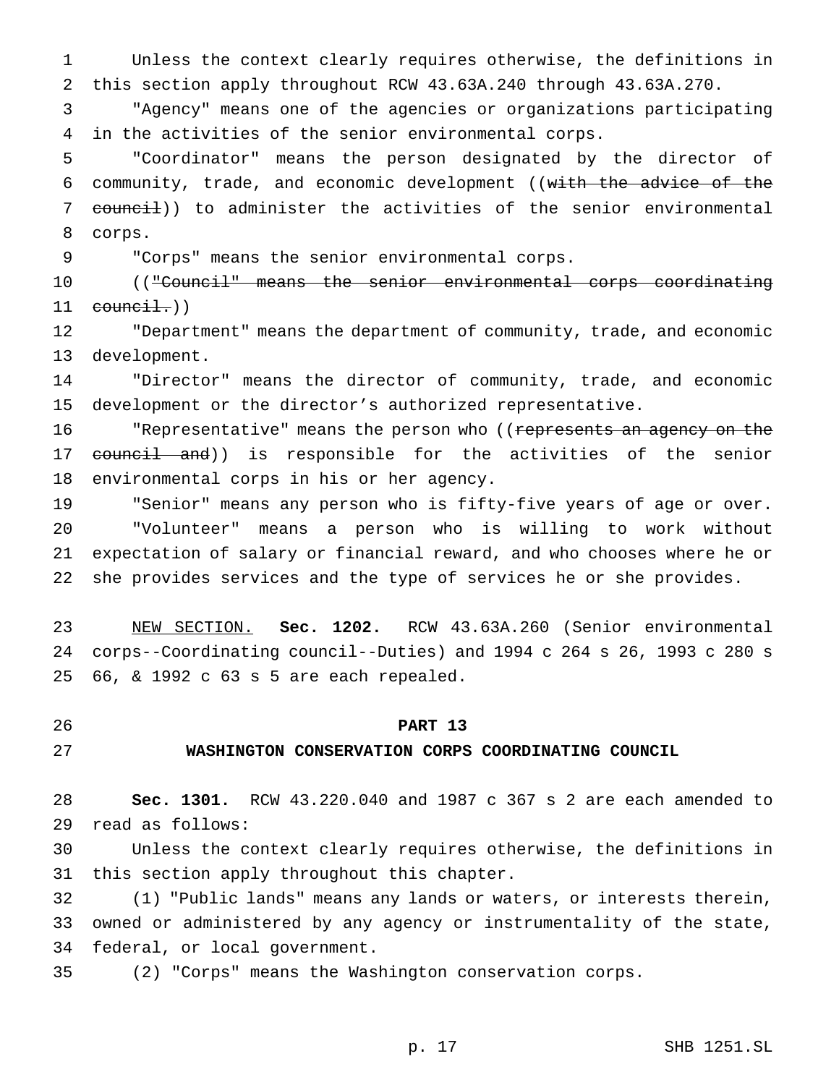Unless the context clearly requires otherwise, the definitions in this section apply throughout RCW 43.63A.240 through 43.63A.270.

 "Agency" means one of the agencies or organizations participating in the activities of the senior environmental corps.

 "Coordinator" means the person designated by the director of community, trade, and economic development ((with the advice of the 7 council)) to administer the activities of the senior environmental corps.

"Corps" means the senior environmental corps.

 (("Council" means the senior environmental corps coordinating council.)

 "Department" means the department of community, trade, and economic development.

 "Director" means the director of community, trade, and economic development or the director's authorized representative.

16 "Representative" means the person who ((represents an agency on the 17 council and)) is responsible for the activities of the senior environmental corps in his or her agency.

 "Senior" means any person who is fifty-five years of age or over. "Volunteer" means a person who is willing to work without expectation of salary or financial reward, and who chooses where he or she provides services and the type of services he or she provides.

 NEW SECTION. **Sec. 1202.** RCW 43.63A.260 (Senior environmental corps--Coordinating council--Duties) and 1994 c 264 s 26, 1993 c 280 s 66, & 1992 c 63 s 5 are each repealed.

#### **PART 13**

#### **WASHINGTON CONSERVATION CORPS COORDINATING COUNCIL**

 **Sec. 1301.** RCW 43.220.040 and 1987 c 367 s 2 are each amended to read as follows:

 Unless the context clearly requires otherwise, the definitions in this section apply throughout this chapter.

 (1) "Public lands" means any lands or waters, or interests therein, owned or administered by any agency or instrumentality of the state, federal, or local government.

(2) "Corps" means the Washington conservation corps.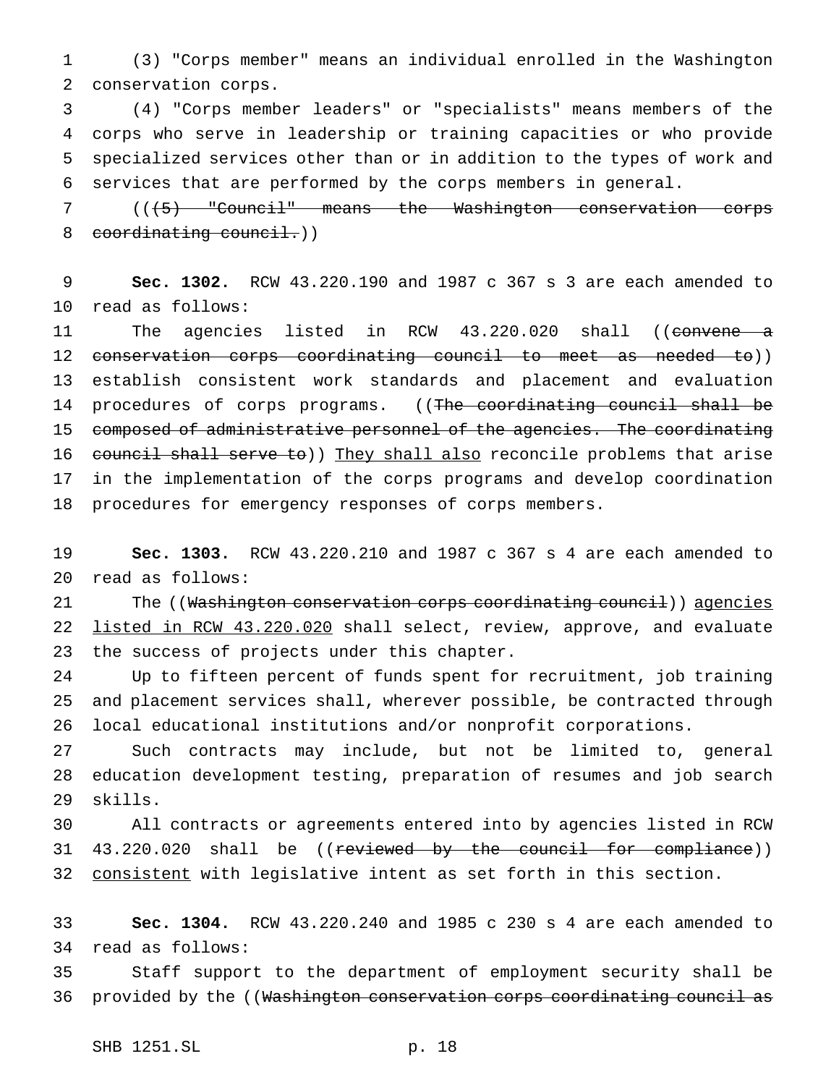(3) "Corps member" means an individual enrolled in the Washington conservation corps.

 (4) "Corps member leaders" or "specialists" means members of the corps who serve in leadership or training capacities or who provide specialized services other than or in addition to the types of work and services that are performed by the corps members in general.

 (((5) "Council" means the Washington conservation corps 8 coordinating council.))

 **Sec. 1302.** RCW 43.220.190 and 1987 c 367 s 3 are each amended to read as follows:

11 The agencies listed in RCW 43.220.020 shall ((convene a conservation corps coordinating council to meet as needed to)) establish consistent work standards and placement and evaluation 14 procedures of corps programs. ((The coordinating council shall be composed of administrative personnel of the agencies. The coordinating 16 council shall serve to)) They shall also reconcile problems that arise in the implementation of the corps programs and develop coordination procedures for emergency responses of corps members.

 **Sec. 1303.** RCW 43.220.210 and 1987 c 367 s 4 are each amended to read as follows:

21 The ((Washington conservation corps coordinating council)) agencies 22 listed in RCW 43.220.020 shall select, review, approve, and evaluate the success of projects under this chapter.

 Up to fifteen percent of funds spent for recruitment, job training and placement services shall, wherever possible, be contracted through local educational institutions and/or nonprofit corporations.

 Such contracts may include, but not be limited to, general education development testing, preparation of resumes and job search skills.

 All contracts or agreements entered into by agencies listed in RCW 31 43.220.020 shall be ((reviewed by the council for compliance)) 32 consistent with legislative intent as set forth in this section.

 **Sec. 1304.** RCW 43.220.240 and 1985 c 230 s 4 are each amended to read as follows:

 Staff support to the department of employment security shall be 36 provided by the ((Washington conservation corps coordinating council as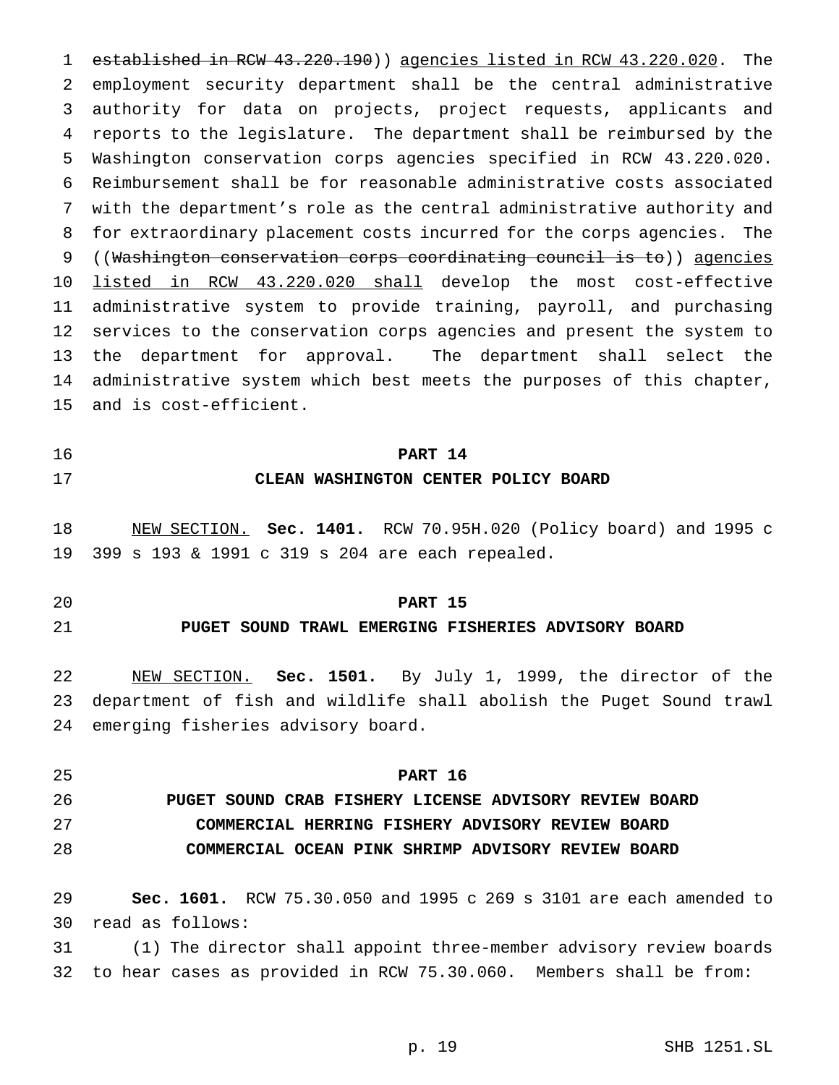established in RCW 43.220.190)) agencies listed in RCW 43.220.020. The employment security department shall be the central administrative authority for data on projects, project requests, applicants and reports to the legislature. The department shall be reimbursed by the Washington conservation corps agencies specified in RCW 43.220.020. Reimbursement shall be for reasonable administrative costs associated with the department's role as the central administrative authority and for extraordinary placement costs incurred for the corps agencies. The ((Washington conservation corps coordinating council is to)) agencies listed in RCW 43.220.020 shall develop the most cost-effective administrative system to provide training, payroll, and purchasing services to the conservation corps agencies and present the system to the department for approval. The department shall select the administrative system which best meets the purposes of this chapter, and is cost-efficient.

**PART 14**

# **CLEAN WASHINGTON CENTER POLICY BOARD**

 NEW SECTION. **Sec. 1401.** RCW 70.95H.020 (Policy board) and 1995 c 399 s 193 & 1991 c 319 s 204 are each repealed.

## **PART 15**

# **PUGET SOUND TRAWL EMERGING FISHERIES ADVISORY BOARD**

 NEW SECTION. **Sec. 1501.** By July 1, 1999, the director of the department of fish and wildlife shall abolish the Puget Sound trawl emerging fisheries advisory board.

 **PART 16 PUGET SOUND CRAB FISHERY LICENSE ADVISORY REVIEW BOARD COMMERCIAL HERRING FISHERY ADVISORY REVIEW BOARD COMMERCIAL OCEAN PINK SHRIMP ADVISORY REVIEW BOARD**

 **Sec. 1601.** RCW 75.30.050 and 1995 c 269 s 3101 are each amended to read as follows:

 (1) The director shall appoint three-member advisory review boards to hear cases as provided in RCW 75.30.060. Members shall be from: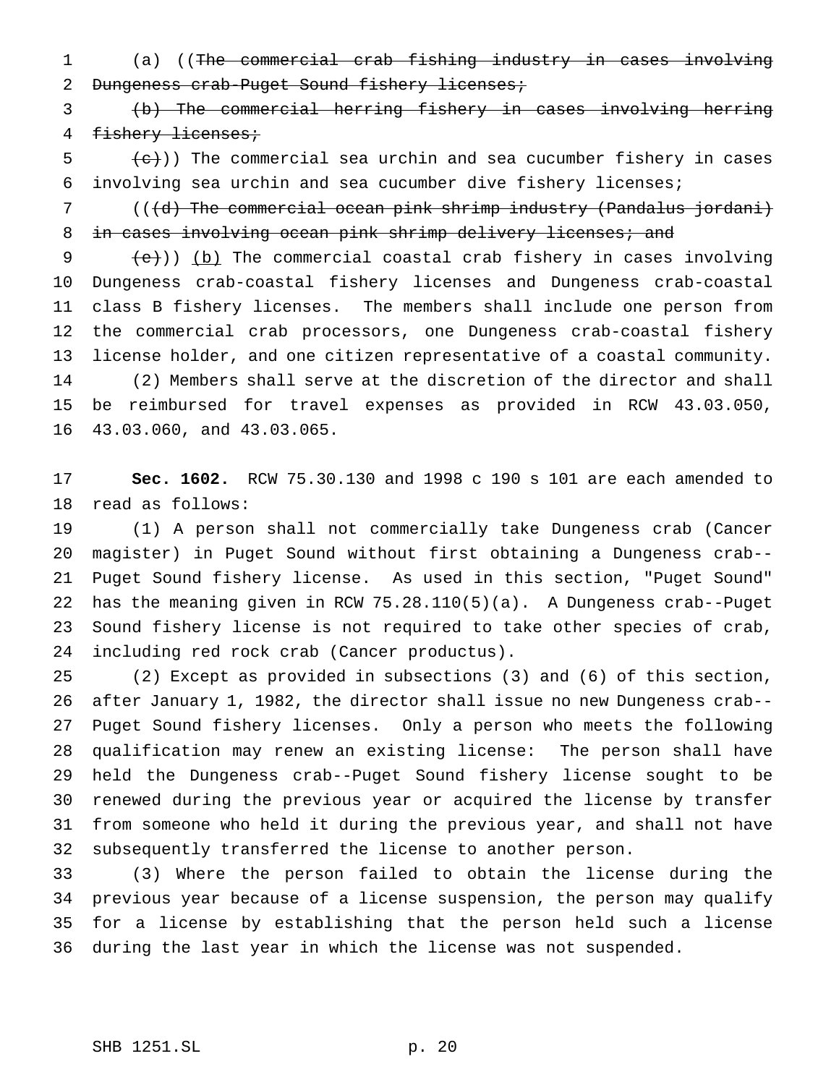(a) ((The commercial crab fishing industry in cases involving 2 Dungeness crab-Puget Sound fishery licenses;

 (b) The commercial herring fishery in cases involving herring 4 fishery licenses;

 $\{e\}$ )) The commercial sea urchin and sea cucumber fishery in cases involving sea urchin and sea cucumber dive fishery licenses;

 (((d) The commercial ocean pink shrimp industry (Pandalus jordani) 8 in cases involving ocean pink shrimp delivery licenses; and

 $(e)$ ) (b) The commercial coastal crab fishery in cases involving Dungeness crab-coastal fishery licenses and Dungeness crab-coastal class B fishery licenses. The members shall include one person from the commercial crab processors, one Dungeness crab-coastal fishery license holder, and one citizen representative of a coastal community. (2) Members shall serve at the discretion of the director and shall be reimbursed for travel expenses as provided in RCW 43.03.050, 43.03.060, and 43.03.065.

 **Sec. 1602.** RCW 75.30.130 and 1998 c 190 s 101 are each amended to read as follows:

 (1) A person shall not commercially take Dungeness crab (Cancer magister) in Puget Sound without first obtaining a Dungeness crab-- Puget Sound fishery license. As used in this section, "Puget Sound" has the meaning given in RCW 75.28.110(5)(a). A Dungeness crab--Puget Sound fishery license is not required to take other species of crab, including red rock crab (Cancer productus).

 (2) Except as provided in subsections (3) and (6) of this section, after January 1, 1982, the director shall issue no new Dungeness crab-- Puget Sound fishery licenses. Only a person who meets the following qualification may renew an existing license: The person shall have held the Dungeness crab--Puget Sound fishery license sought to be renewed during the previous year or acquired the license by transfer from someone who held it during the previous year, and shall not have subsequently transferred the license to another person.

 (3) Where the person failed to obtain the license during the previous year because of a license suspension, the person may qualify for a license by establishing that the person held such a license during the last year in which the license was not suspended.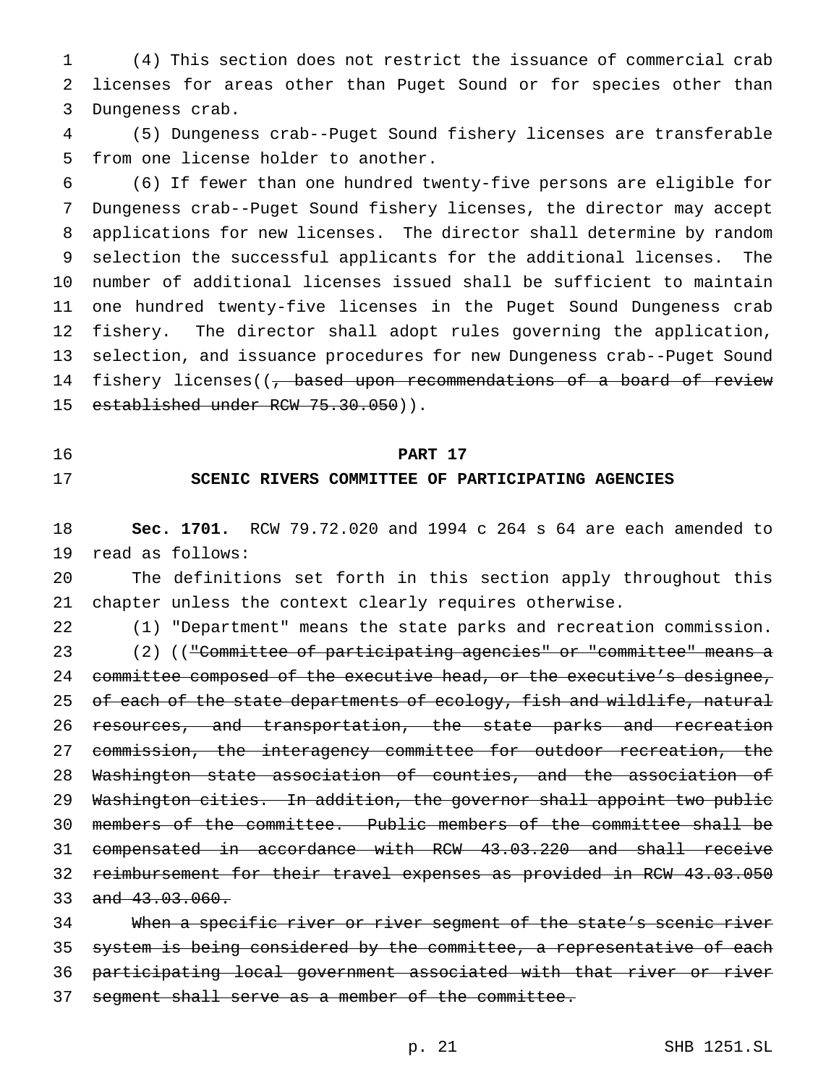(4) This section does not restrict the issuance of commercial crab licenses for areas other than Puget Sound or for species other than Dungeness crab.

 (5) Dungeness crab--Puget Sound fishery licenses are transferable from one license holder to another.

 (6) If fewer than one hundred twenty-five persons are eligible for Dungeness crab--Puget Sound fishery licenses, the director may accept applications for new licenses. The director shall determine by random selection the successful applicants for the additional licenses. The number of additional licenses issued shall be sufficient to maintain one hundred twenty-five licenses in the Puget Sound Dungeness crab fishery. The director shall adopt rules governing the application, selection, and issuance procedures for new Dungeness crab--Puget Sound 14 fishery licenses((<del>, based upon recommendations of a board of review</del> 15 established under RCW 75.30.050)).

### **PART 17**

## **SCENIC RIVERS COMMITTEE OF PARTICIPATING AGENCIES**

 **Sec. 1701.** RCW 79.72.020 and 1994 c 264 s 64 are each amended to read as follows:

 The definitions set forth in this section apply throughout this chapter unless the context clearly requires otherwise.

(1) "Department" means the state parks and recreation commission.

23 (2) ((<del>"Committee of participating agencies" or "committee" means a</del> 24 committee composed of the executive head, or the executive's designee, 25 of each of the state departments of ecology, fish and wildlife, natural resources, and transportation, the state parks and recreation commission, the interagency committee for outdoor recreation, the Washington state association of counties, and the association of Washington cities. In addition, the governor shall appoint two public members of the committee. Public members of the committee shall be compensated in accordance with RCW 43.03.220 and shall receive reimbursement for their travel expenses as provided in RCW 43.03.050 33 and 43.03.060.

 When a specific river or river segment of the state's scenic river system is being considered by the committee, a representative of each participating local government associated with that river or river 37 segment shall serve as a member of the committee.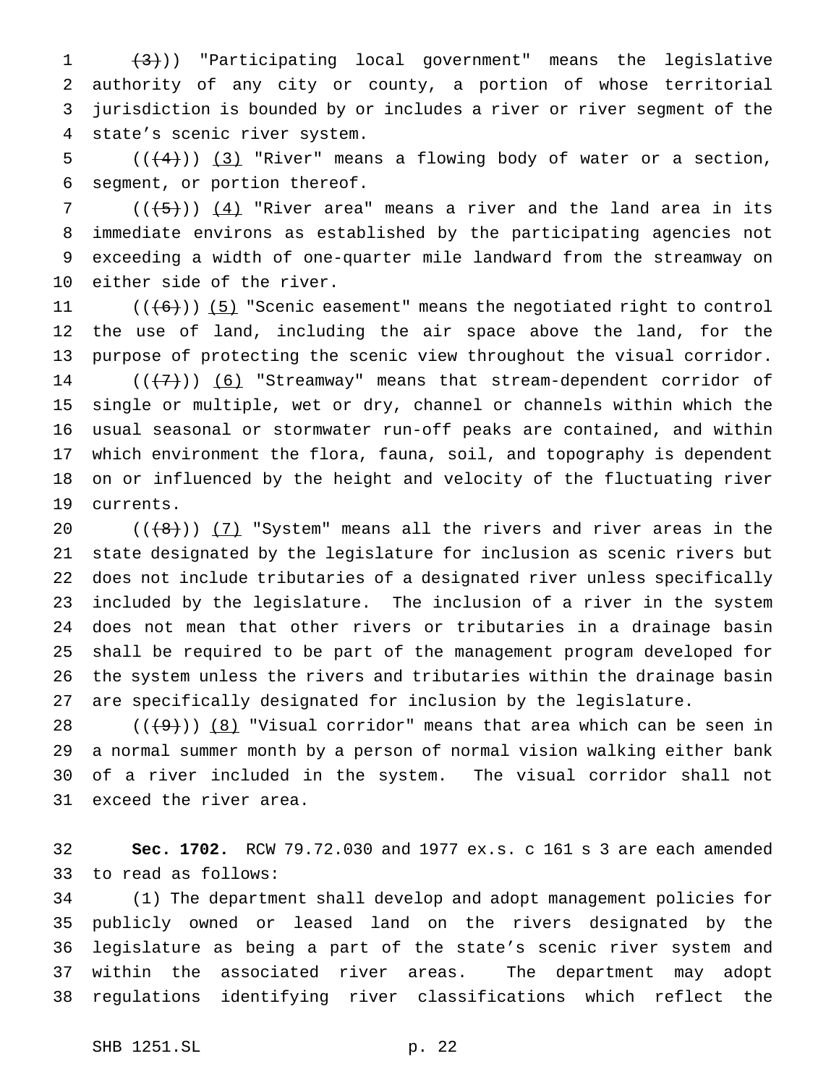$(3)$ ) "Participating local government" means the legislative authority of any city or county, a portion of whose territorial jurisdiction is bounded by or includes a river or river segment of the state's scenic river system.

5  $((+4))$   $(3)$  "River" means a flowing body of water or a section, segment, or portion thereof.

7 ( $(\overline{5})$ )  $(4)$  "River area" means a river and the land area in its immediate environs as established by the participating agencies not exceeding a width of one-quarter mile landward from the streamway on either side of the river.

 $((+6))$  (5) "Scenic easement" means the negotiated right to control the use of land, including the air space above the land, for the purpose of protecting the scenic view throughout the visual corridor.  $((+7))$  (6) "Streamway" means that stream-dependent corridor of single or multiple, wet or dry, channel or channels within which the usual seasonal or stormwater run-off peaks are contained, and within which environment the flora, fauna, soil, and topography is dependent on or influenced by the height and velocity of the fluctuating river currents.

 $((\{8\})$   $(7)$  "System" means all the rivers and river areas in the state designated by the legislature for inclusion as scenic rivers but does not include tributaries of a designated river unless specifically included by the legislature. The inclusion of a river in the system does not mean that other rivers or tributaries in a drainage basin shall be required to be part of the management program developed for the system unless the rivers and tributaries within the drainage basin are specifically designated for inclusion by the legislature.

 $((+9))$   $(8)$  "Visual corridor" means that area which can be seen in a normal summer month by a person of normal vision walking either bank of a river included in the system. The visual corridor shall not exceed the river area.

 **Sec. 1702.** RCW 79.72.030 and 1977 ex.s. c 161 s 3 are each amended to read as follows:

 (1) The department shall develop and adopt management policies for publicly owned or leased land on the rivers designated by the legislature as being a part of the state's scenic river system and within the associated river areas. The department may adopt regulations identifying river classifications which reflect the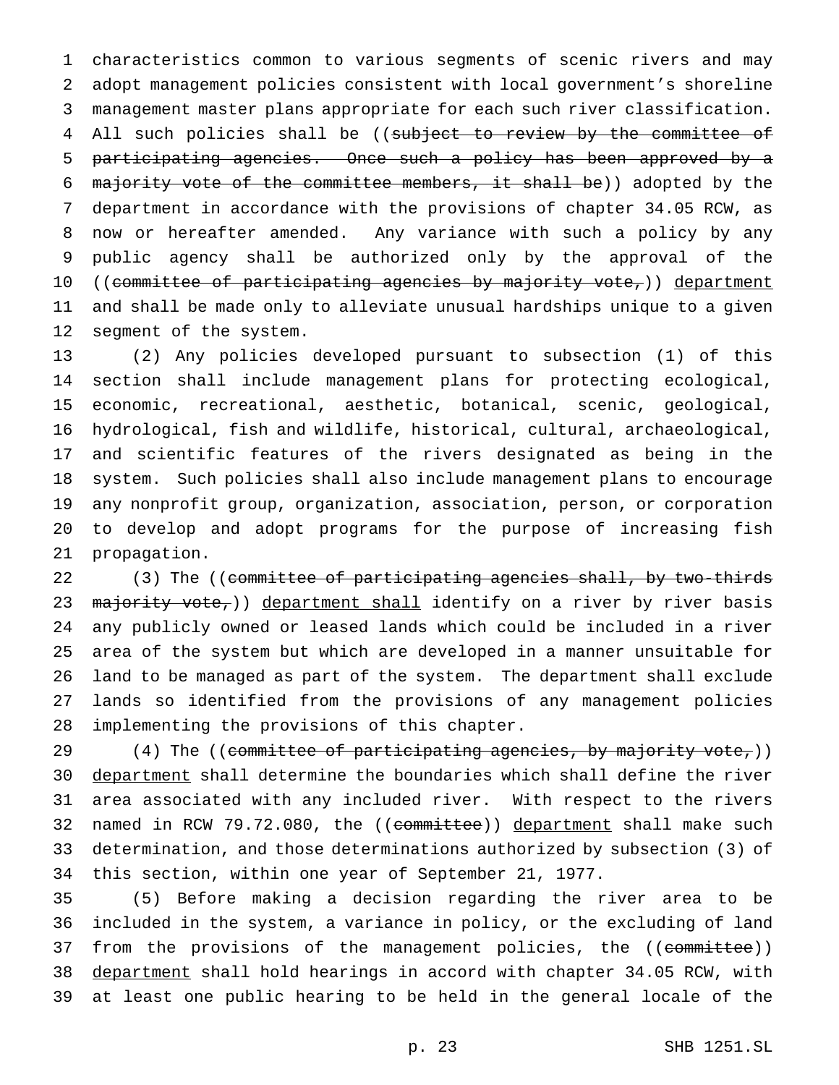characteristics common to various segments of scenic rivers and may adopt management policies consistent with local government's shoreline management master plans appropriate for each such river classification. 4 All such policies shall be ((subject to review by the committee of participating agencies. Once such a policy has been approved by a 6 majority vote of the committee members, it shall be)) adopted by the department in accordance with the provisions of chapter 34.05 RCW, as now or hereafter amended. Any variance with such a policy by any public agency shall be authorized only by the approval of the 10 ((committee of participating agencies by majority vote,)) department and shall be made only to alleviate unusual hardships unique to a given segment of the system.

 (2) Any policies developed pursuant to subsection (1) of this section shall include management plans for protecting ecological, economic, recreational, aesthetic, botanical, scenic, geological, hydrological, fish and wildlife, historical, cultural, archaeological, and scientific features of the rivers designated as being in the system. Such policies shall also include management plans to encourage any nonprofit group, organization, association, person, or corporation to develop and adopt programs for the purpose of increasing fish propagation.

22 (3) The ((committee of participating agencies shall, by two-thirds 23 majority vote,)) department shall identify on a river by river basis any publicly owned or leased lands which could be included in a river area of the system but which are developed in a manner unsuitable for land to be managed as part of the system. The department shall exclude lands so identified from the provisions of any management policies implementing the provisions of this chapter.

 $(4)$  The ((committee of participating agencies, by majority vote,)) 30 department shall determine the boundaries which shall define the river area associated with any included river. With respect to the rivers 32 named in RCW 79.72.080, the ((committee)) department shall make such determination, and those determinations authorized by subsection (3) of this section, within one year of September 21, 1977.

 (5) Before making a decision regarding the river area to be included in the system, a variance in policy, or the excluding of land 37 from the provisions of the management policies, the ((committee)) 38 department shall hold hearings in accord with chapter 34.05 RCW, with at least one public hearing to be held in the general locale of the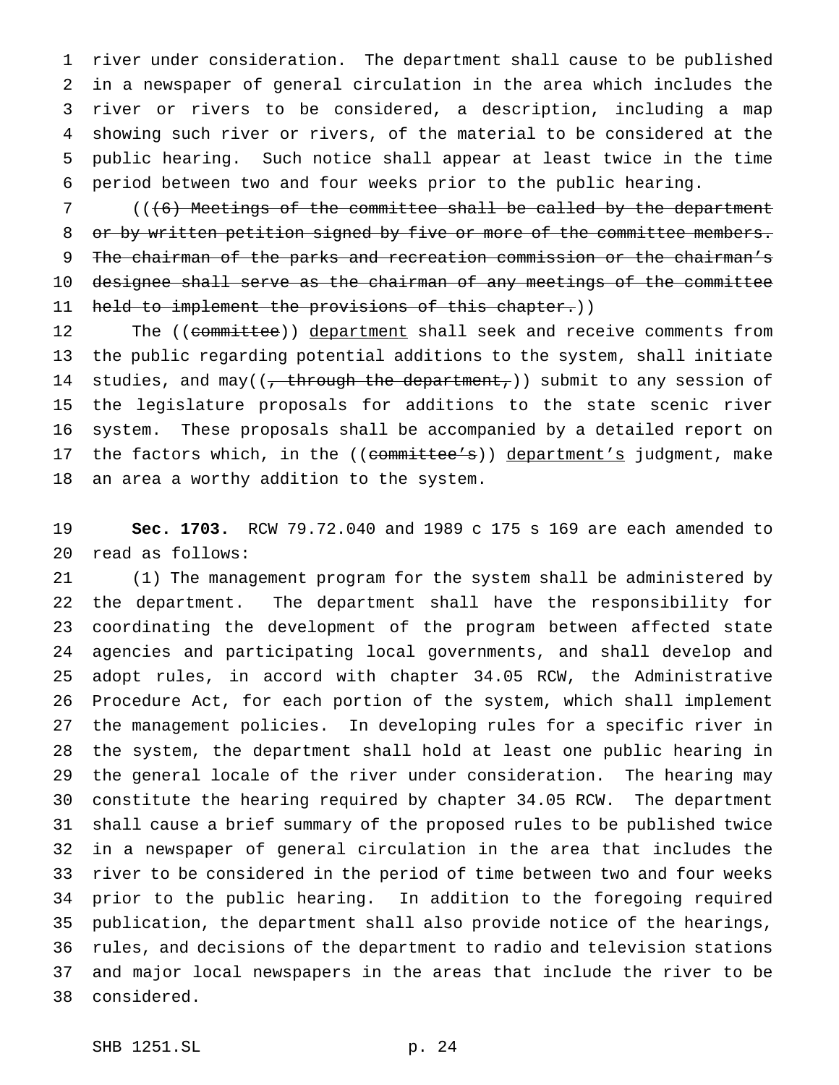river under consideration. The department shall cause to be published in a newspaper of general circulation in the area which includes the river or rivers to be considered, a description, including a map showing such river or rivers, of the material to be considered at the public hearing. Such notice shall appear at least twice in the time period between two and four weeks prior to the public hearing.

 (((6) Meetings of the committee shall be called by the department 8 or by written petition signed by five or more of the committee members. The chairman of the parks and recreation commission or the chairman's designee shall serve as the chairman of any meetings of the committee 11 held to implement the provisions of this chapter.))

12 The ((committee)) department shall seek and receive comments from the public regarding potential additions to the system, shall initiate 14 studies, and may( $\left(\frac{1}{t} + \frac{1}{t} + \frac{1}{t} + \frac{1}{t} + \frac{1}{t}\right)$  submit to any session of the legislature proposals for additions to the state scenic river system. These proposals shall be accompanied by a detailed report on 17 the factors which, in the ((committee's)) department's judgment, make an area a worthy addition to the system.

 **Sec. 1703.** RCW 79.72.040 and 1989 c 175 s 169 are each amended to read as follows:

 (1) The management program for the system shall be administered by the department. The department shall have the responsibility for coordinating the development of the program between affected state agencies and participating local governments, and shall develop and adopt rules, in accord with chapter 34.05 RCW, the Administrative Procedure Act, for each portion of the system, which shall implement the management policies. In developing rules for a specific river in the system, the department shall hold at least one public hearing in the general locale of the river under consideration. The hearing may constitute the hearing required by chapter 34.05 RCW. The department shall cause a brief summary of the proposed rules to be published twice in a newspaper of general circulation in the area that includes the river to be considered in the period of time between two and four weeks prior to the public hearing. In addition to the foregoing required publication, the department shall also provide notice of the hearings, rules, and decisions of the department to radio and television stations and major local newspapers in the areas that include the river to be considered.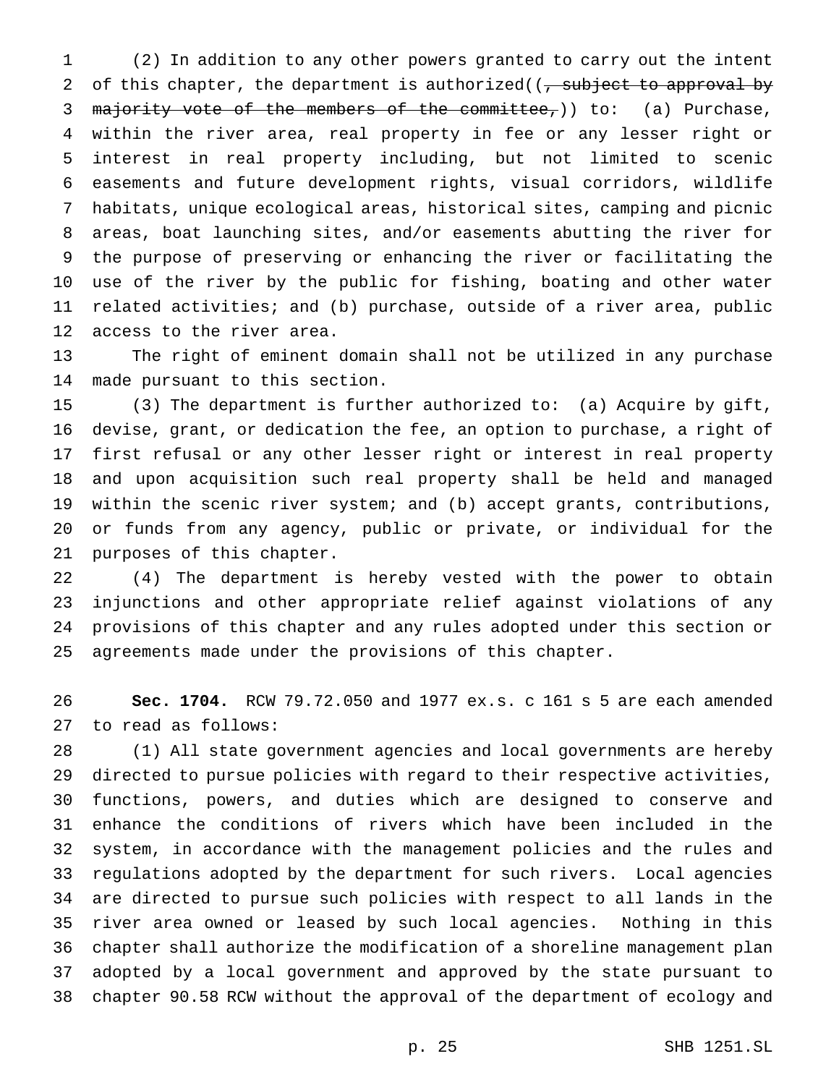(2) In addition to any other powers granted to carry out the intent 2 of this chapter, the department is authorized( $\frac{1}{2}$  subject to approval by 3 majority vote of the members of the committee,)) to: (a) Purchase, within the river area, real property in fee or any lesser right or interest in real property including, but not limited to scenic easements and future development rights, visual corridors, wildlife habitats, unique ecological areas, historical sites, camping and picnic areas, boat launching sites, and/or easements abutting the river for the purpose of preserving or enhancing the river or facilitating the use of the river by the public for fishing, boating and other water related activities; and (b) purchase, outside of a river area, public access to the river area.

 The right of eminent domain shall not be utilized in any purchase made pursuant to this section.

 (3) The department is further authorized to: (a) Acquire by gift, devise, grant, or dedication the fee, an option to purchase, a right of first refusal or any other lesser right or interest in real property and upon acquisition such real property shall be held and managed within the scenic river system; and (b) accept grants, contributions, or funds from any agency, public or private, or individual for the purposes of this chapter.

 (4) The department is hereby vested with the power to obtain injunctions and other appropriate relief against violations of any provisions of this chapter and any rules adopted under this section or agreements made under the provisions of this chapter.

 **Sec. 1704.** RCW 79.72.050 and 1977 ex.s. c 161 s 5 are each amended to read as follows:

 (1) All state government agencies and local governments are hereby directed to pursue policies with regard to their respective activities, functions, powers, and duties which are designed to conserve and enhance the conditions of rivers which have been included in the system, in accordance with the management policies and the rules and regulations adopted by the department for such rivers. Local agencies are directed to pursue such policies with respect to all lands in the river area owned or leased by such local agencies. Nothing in this chapter shall authorize the modification of a shoreline management plan adopted by a local government and approved by the state pursuant to chapter 90.58 RCW without the approval of the department of ecology and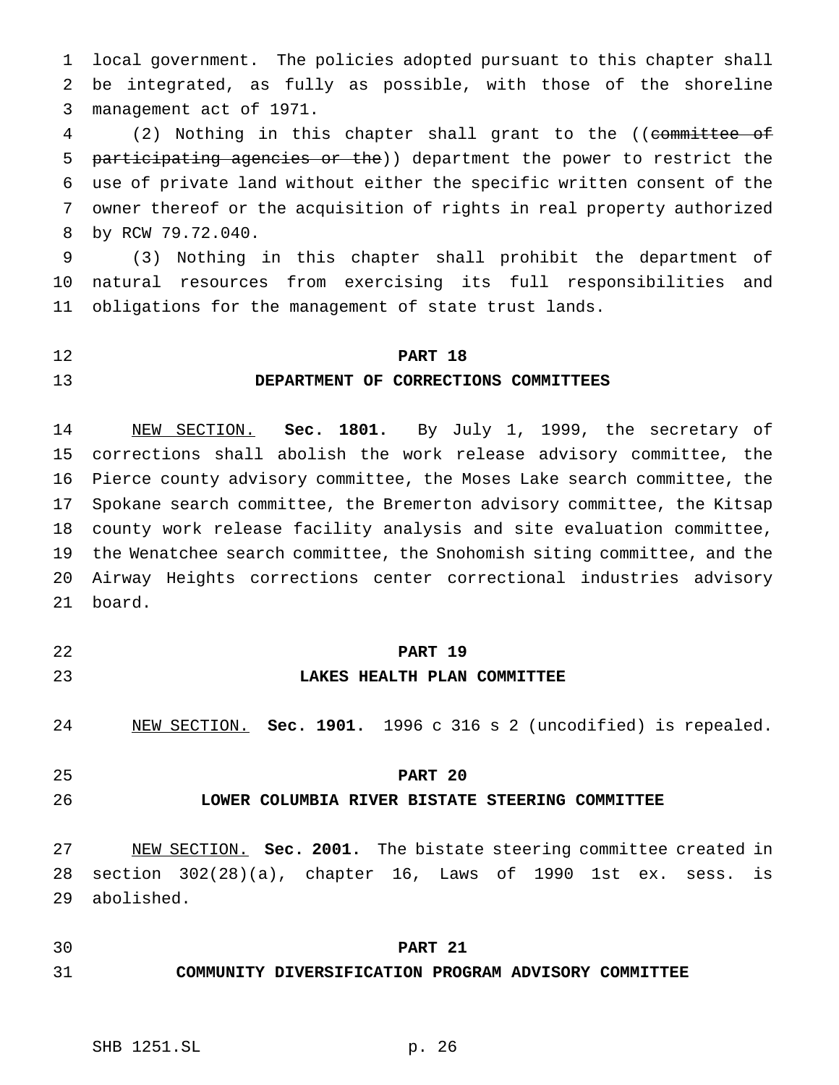local government. The policies adopted pursuant to this chapter shall be integrated, as fully as possible, with those of the shoreline management act of 1971.

 (2) Nothing in this chapter shall grant to the ((committee of 5 participating agencies or the)) department the power to restrict the use of private land without either the specific written consent of the owner thereof or the acquisition of rights in real property authorized by RCW 79.72.040.

 (3) Nothing in this chapter shall prohibit the department of natural resources from exercising its full responsibilities and obligations for the management of state trust lands.

# **PART 18**

#### **DEPARTMENT OF CORRECTIONS COMMITTEES**

 NEW SECTION. **Sec. 1801.** By July 1, 1999, the secretary of corrections shall abolish the work release advisory committee, the Pierce county advisory committee, the Moses Lake search committee, the Spokane search committee, the Bremerton advisory committee, the Kitsap county work release facility analysis and site evaluation committee, the Wenatchee search committee, the Snohomish siting committee, and the Airway Heights corrections center correctional industries advisory board.

- 
- 

#### **PART 19**

#### **LAKES HEALTH PLAN COMMITTEE**

- NEW SECTION. **Sec. 1901.** 1996 c 316 s 2 (uncodified) is repealed.
- 

## **PART 20**

# **LOWER COLUMBIA RIVER BISTATE STEERING COMMITTEE**

 NEW SECTION. **Sec. 2001.** The bistate steering committee created in section 302(28)(a), chapter 16, Laws of 1990 1st ex. sess. is abolished.

# **PART 21**

## **COMMUNITY DIVERSIFICATION PROGRAM ADVISORY COMMITTEE**

# SHB 1251.SL p. 26